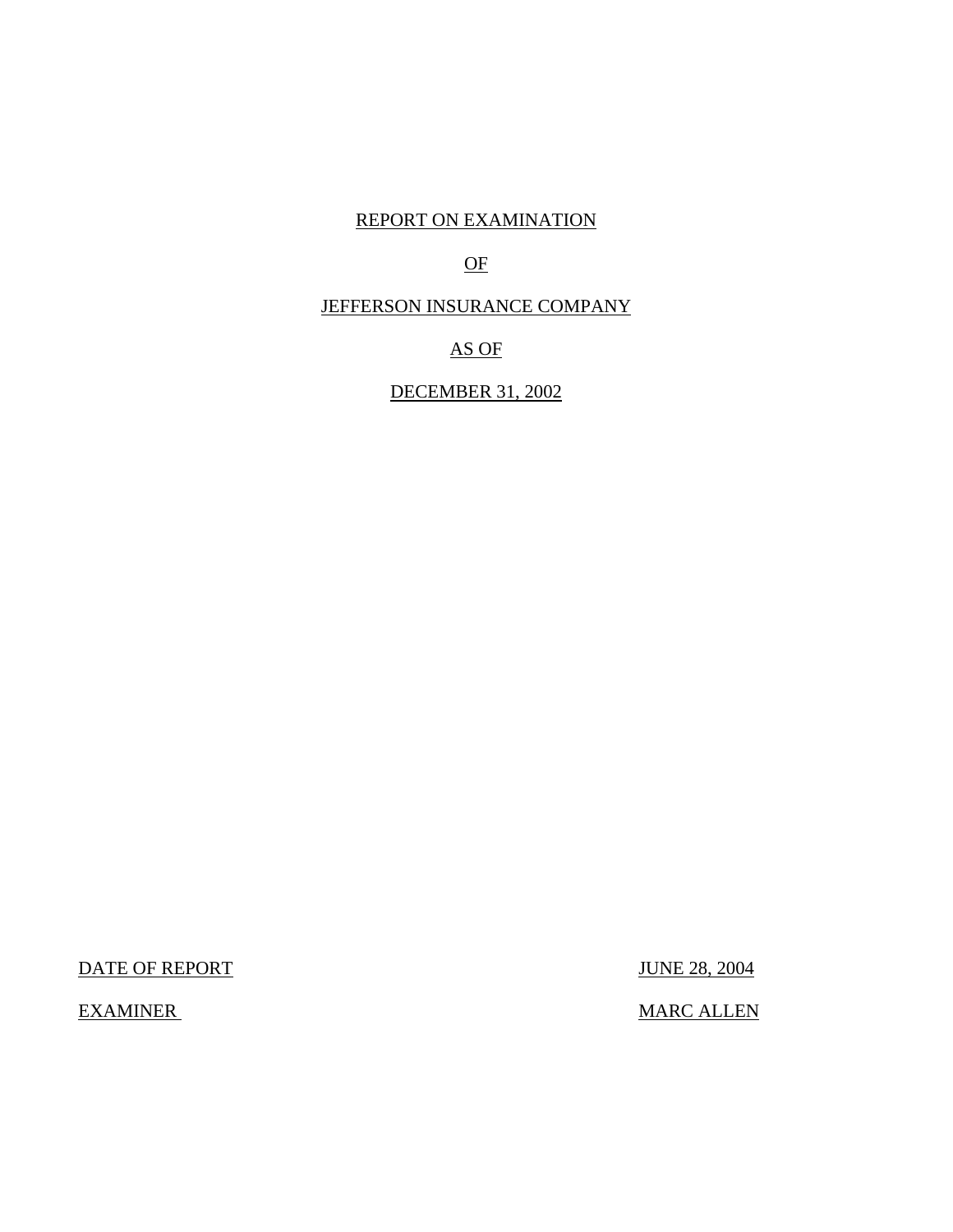# REPORT ON EXAMINATION

# OF

# JEFFERSON INSURANCE COMPANY

# AS OF

# DECEMBER 31, 2002

DATE OF REPORT JUNE 28, 2004

EXAMINER MARC ALLEN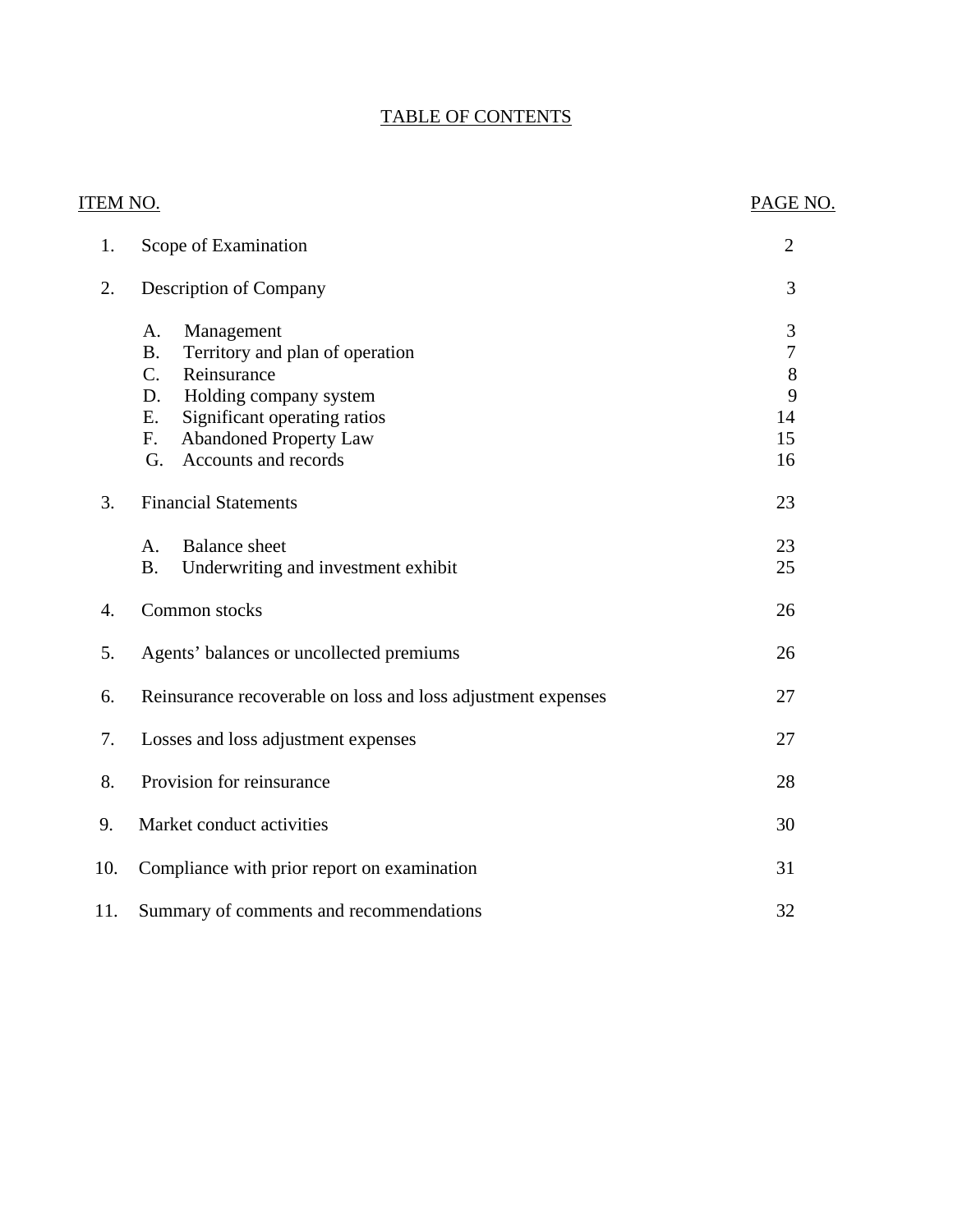# TABLE OF CONTENTS

| ITEM NO. |                                                                                                                                                                                                                                  | PAGE NO.                                            |
|----------|----------------------------------------------------------------------------------------------------------------------------------------------------------------------------------------------------------------------------------|-----------------------------------------------------|
| 1.       | Scope of Examination                                                                                                                                                                                                             | $\overline{2}$                                      |
| 2.       | <b>Description of Company</b>                                                                                                                                                                                                    | 3                                                   |
|          | Management<br>A.<br>Territory and plan of operation<br><b>B.</b><br>Reinsurance<br>C.<br>Holding company system<br>D.<br>Significant operating ratios<br>Ε.<br><b>Abandoned Property Law</b><br>F.<br>Accounts and records<br>G. | 3<br>$\overline{7}$<br>$8\,$<br>9<br>14<br>15<br>16 |
| 3.       | <b>Financial Statements</b>                                                                                                                                                                                                      | 23                                                  |
|          | <b>Balance</b> sheet<br>A.<br><b>B.</b><br>Underwriting and investment exhibit                                                                                                                                                   | 23<br>25                                            |
| 4.       | Common stocks                                                                                                                                                                                                                    | 26                                                  |
| 5.       | Agents' balances or uncollected premiums                                                                                                                                                                                         | 26                                                  |
| 6.       | Reinsurance recoverable on loss and loss adjustment expenses                                                                                                                                                                     | 27                                                  |
| 7.       | Losses and loss adjustment expenses                                                                                                                                                                                              | 27                                                  |
| 8.       | Provision for reinsurance                                                                                                                                                                                                        | 28                                                  |
| 9.       | Market conduct activities                                                                                                                                                                                                        | 30                                                  |
| 10.      | Compliance with prior report on examination                                                                                                                                                                                      | 31                                                  |
| 11.      | Summary of comments and recommendations                                                                                                                                                                                          | 32                                                  |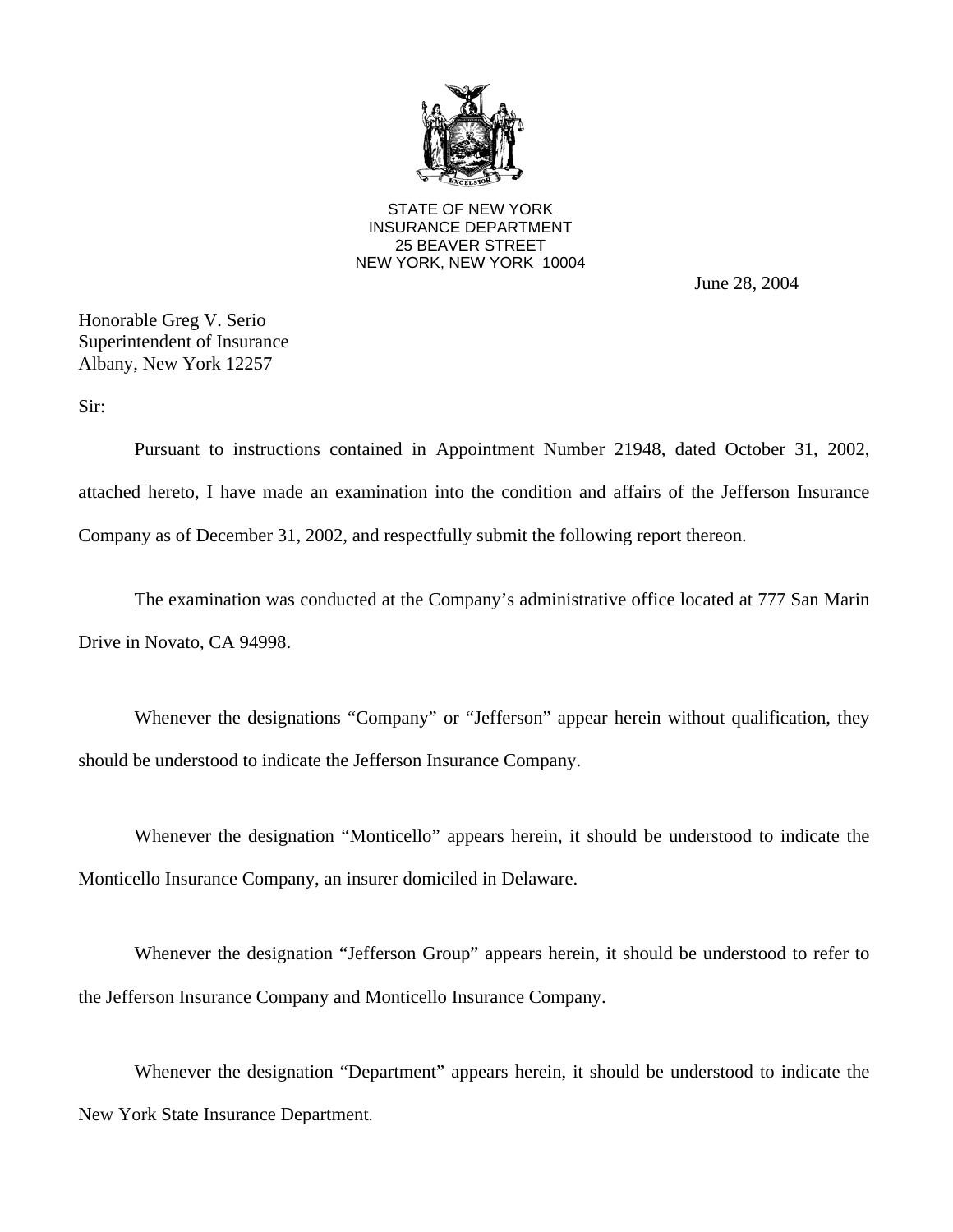

STATE OF NEW YORK INSURANCE DEPARTMENT 25 BEAVER STREET NEW YORK, NEW YORK 10004

June 28, 2004

Honorable Greg V. Serio Superintendent of Insurance Albany, New York 12257

Sir:

Pursuant to instructions contained in Appointment Number 21948, dated October 31, 2002, attached hereto, I have made an examination into the condition and affairs of the Jefferson Insurance Company as of December 31, 2002, and respectfully submit the following report thereon.

The examination was conducted at the Company's administrative office located at 777 San Marin Drive in Novato, CA 94998.

Whenever the designations "Company" or "Jefferson" appear herein without qualification, they should be understood to indicate the Jefferson Insurance Company.

Whenever the designation "Monticello" appears herein, it should be understood to indicate the Monticello Insurance Company, an insurer domiciled in Delaware.

Whenever the designation "Jefferson Group" appears herein, it should be understood to refer to the Jefferson Insurance Company and Monticello Insurance Company.

Whenever the designation "Department" appears herein, it should be understood to indicate the New York State Insurance Department.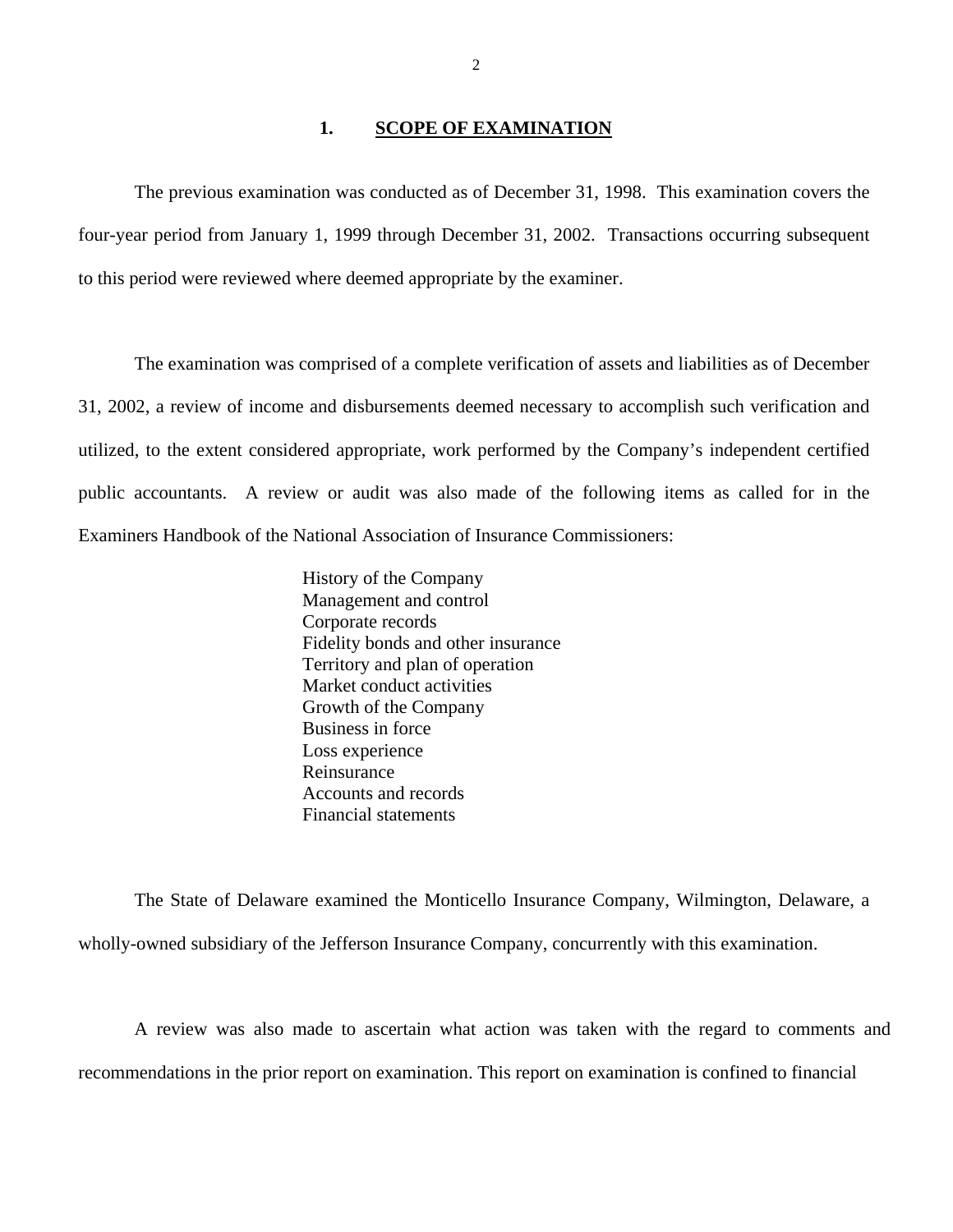#### **1. SCOPE OF EXAMINATION**

<span id="page-3-0"></span>The previous examination was conducted as of December 31, 1998. This examination covers the four-year period from January 1, 1999 through December 31, 2002. Transactions occurring subsequent to this period were reviewed where deemed appropriate by the examiner.

The examination was comprised of a complete verification of assets and liabilities as of December 31, 2002, a review of income and disbursements deemed necessary to accomplish such verification and utilized, to the extent considered appropriate, work performed by the Company's independent certified public accountants. A review or audit was also made of the following items as called for in the Examiners Handbook of the National Association of Insurance Commissioners:

> History of the Company Management and control Corporate records Fidelity bonds and other insurance Territory and plan of operation Market conduct activities Growth of the Company Business in force Loss experience Reinsurance Accounts and records Financial statements

The State of Delaware examined the Monticello Insurance Company, Wilmington, Delaware, a wholly-owned subsidiary of the Jefferson Insurance Company, concurrently with this examination.

A review was also made to ascertain what action was taken with the regard to comments and recommendations in the prior report on examination. This report on examination is confined to financial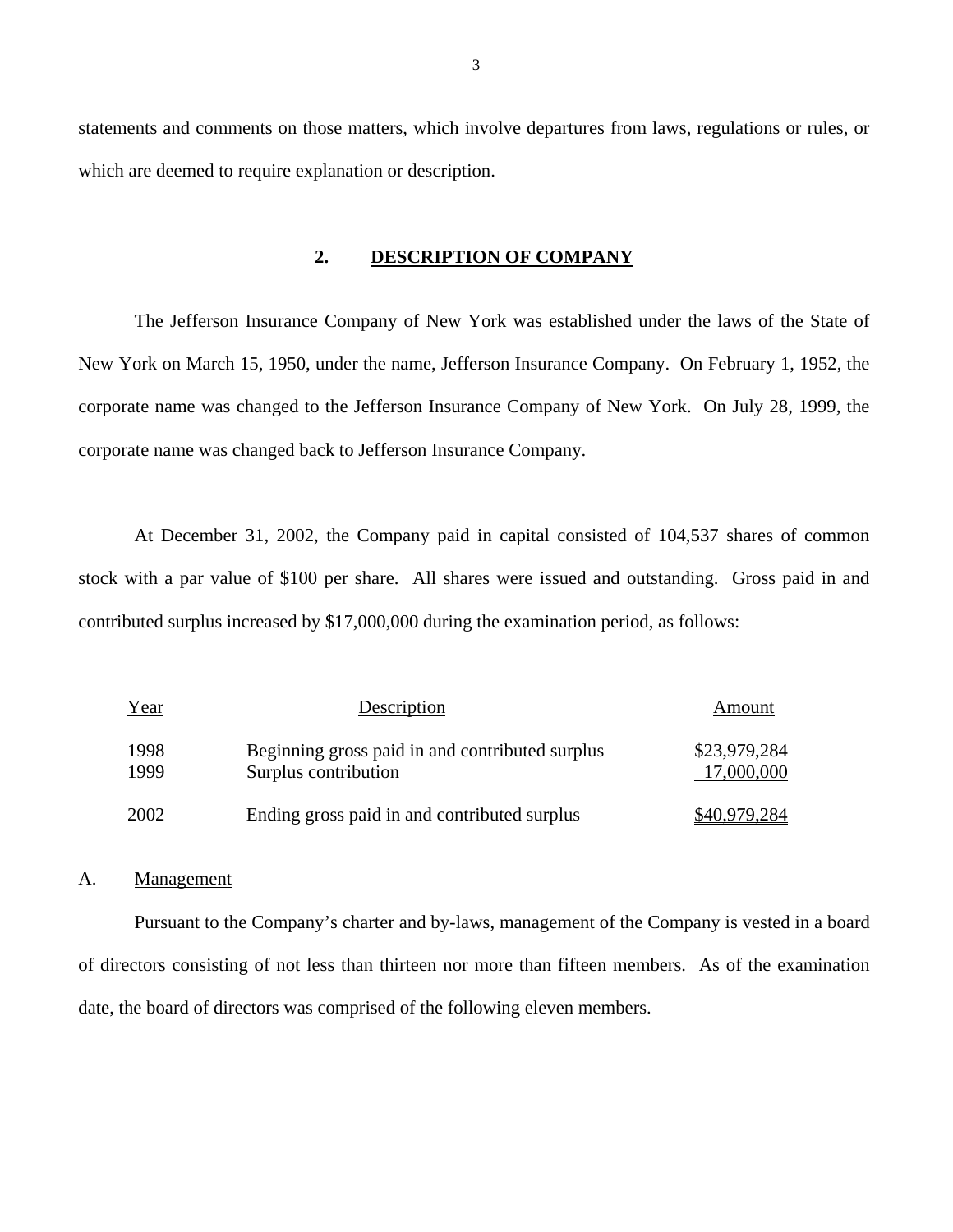statements and comments on those matters, which involve departures from laws, regulations or rules, or which are deemed to require explanation or description.

#### **2. DESCRIPTION OF COMPANY**

The Jefferson Insurance Company of New York was established under the laws of the State of New York on March 15, 1950, under the name, Jefferson Insurance Company. On February 1, 1952, the corporate name was changed to the Jefferson Insurance Company of New York. On July 28, 1999, the corporate name was changed back to Jefferson Insurance Company.

At December 31, 2002, the Company paid in capital consisted of 104,537 shares of common stock with a par value of \$100 per share. All shares were issued and outstanding. Gross paid in and contributed surplus increased by \$17,000,000 during the examination period, as follows:

| Year         | Description                                                             | Amount                     |
|--------------|-------------------------------------------------------------------------|----------------------------|
| 1998<br>1999 | Beginning gross paid in and contributed surplus<br>Surplus contribution | \$23,979,284<br>17,000,000 |
| 2002         | Ending gross paid in and contributed surplus                            | \$40,979,284               |

#### A. Management

Pursuant to the Company's charter and by-laws, management of the Company is vested in a board of directors consisting of not less than thirteen nor more than fifteen members. As of the examination date, the board of directors was comprised of the following eleven members.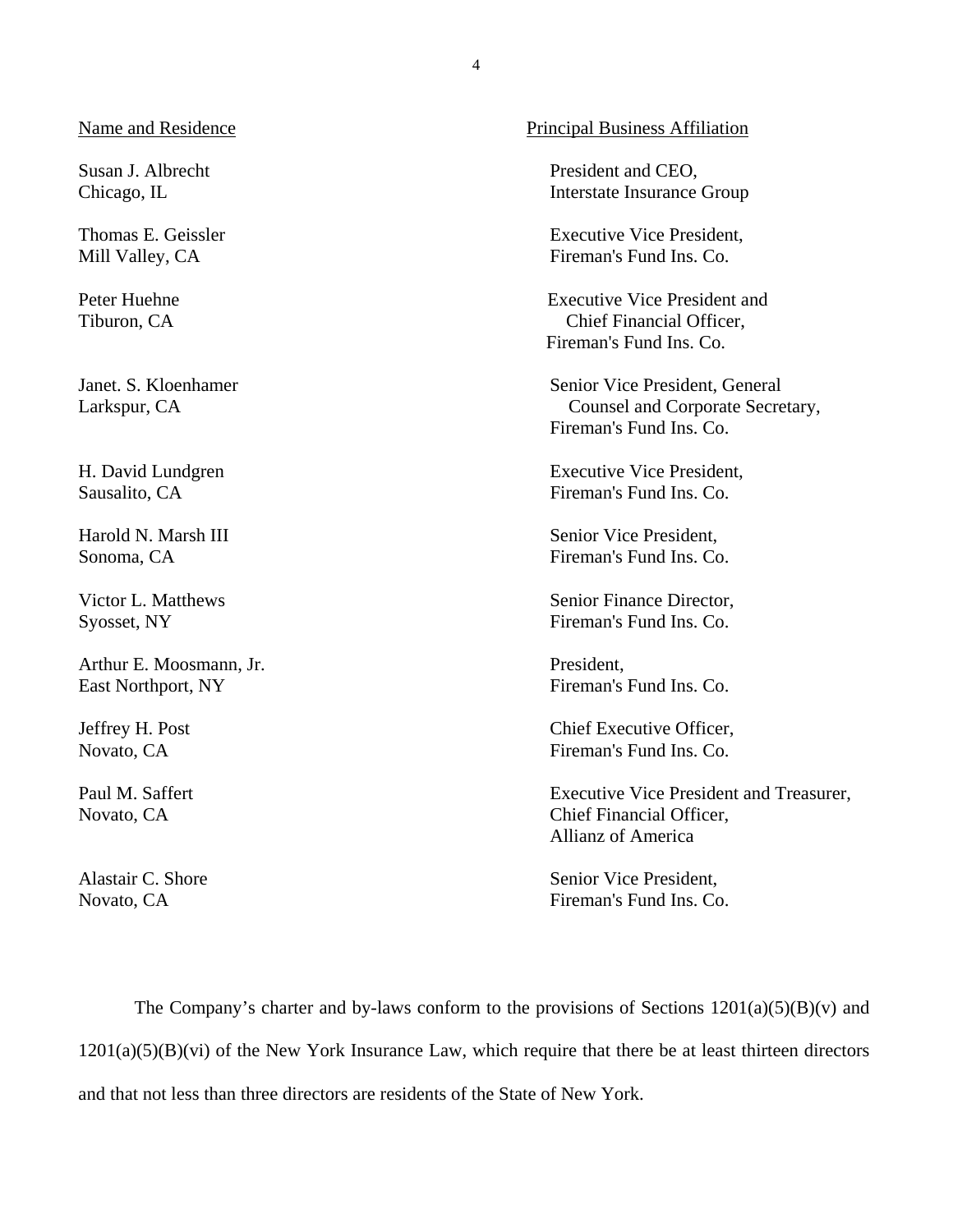Susan J. Albrecht Chicago, IL

Thomas E. Geissler Mill Valley, CA

Peter Huehne Tiburon, CA

Janet. S. Kloenhamer Larkspur, CA

H. David Lundgren Sausalito, CA

Harold N. Marsh III Sonoma, CA

Victor L. Matthews Syosset, NY

Arthur E. Moosmann, Jr. East Northport, NY

Jeffrey H. Post Novato, CA

Paul M. Saffert Novato, CA

Alastair C. Shore Novato, CA

#### Name and Residence Principal Business Affiliation

President and CEO, Interstate Insurance Group

Executive Vice President, Fireman's Fund Ins. Co.

Executive Vice President and Chief Financial Officer, Fireman's Fund Ins. Co.

Senior Vice President, General Counsel and Corporate Secretary, Fireman's Fund Ins. Co.

Executive Vice President, Fireman's Fund Ins. Co.

Senior Vice President, Fireman's Fund Ins. Co.

Senior Finance Director, Fireman's Fund Ins. Co.

President, Fireman's Fund Ins. Co.

Chief Executive Officer, Fireman's Fund Ins. Co.

Executive Vice President and Treasurer, Chief Financial Officer, Allianz of America

Senior Vice President, Fireman's Fund Ins. Co.

The Company's charter and by-laws conform to the provisions of Sections  $1201(a)(5)(B)(v)$  and  $1201(a)(5)(B)(vi)$  of the New York Insurance Law, which require that there be at least thirteen directors and that not less than three directors are residents of the State of New York.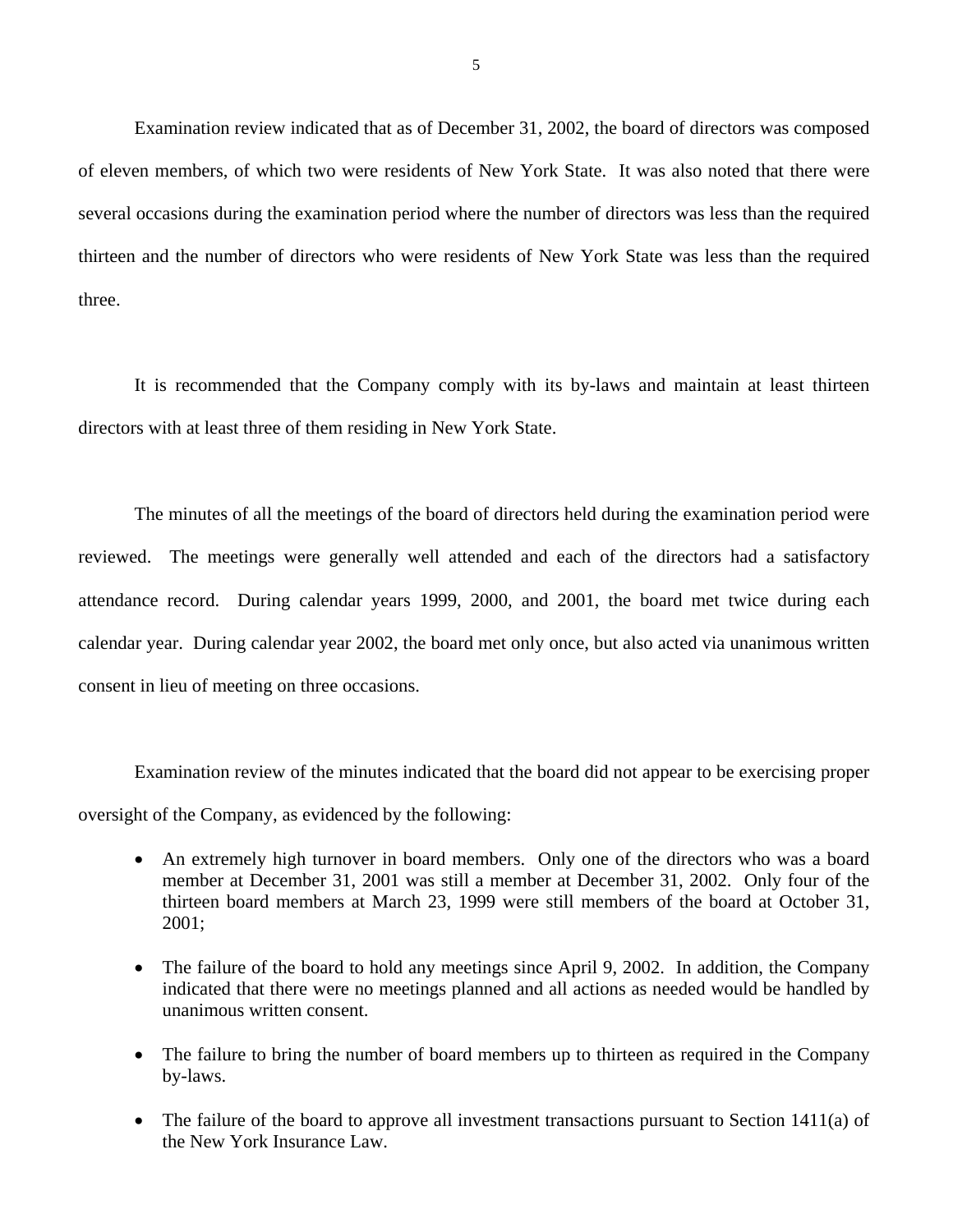Examination review indicated that as of December 31, 2002, the board of directors was composed of eleven members, of which two were residents of New York State. It was also noted that there were several occasions during the examination period where the number of directors was less than the required thirteen and the number of directors who were residents of New York State was less than the required three.

It is recommended that the Company comply with its by-laws and maintain at least thirteen directors with at least three of them residing in New York State.

The minutes of all the meetings of the board of directors held during the examination period were reviewed. The meetings were generally well attended and each of the directors had a satisfactory attendance record. During calendar years 1999, 2000, and 2001, the board met twice during each calendar year. During calendar year 2002, the board met only once, but also acted via unanimous written consent in lieu of meeting on three occasions.

Examination review of the minutes indicated that the board did not appear to be exercising proper oversight of the Company, as evidenced by the following:

- An extremely high turnover in board members. Only one of the directors who was a board member at December 31, 2001 was still a member at December 31, 2002. Only four of the thirteen board members at March 23, 1999 were still members of the board at October 31, 2001;
- The failure of the board to hold any meetings since April 9, 2002. In addition, the Company indicated that there were no meetings planned and all actions as needed would be handled by unanimous written consent.
- The failure to bring the number of board members up to thirteen as required in the Company by-laws.
- The failure of the board to approve all investment transactions pursuant to Section 1411(a) of the New York Insurance Law.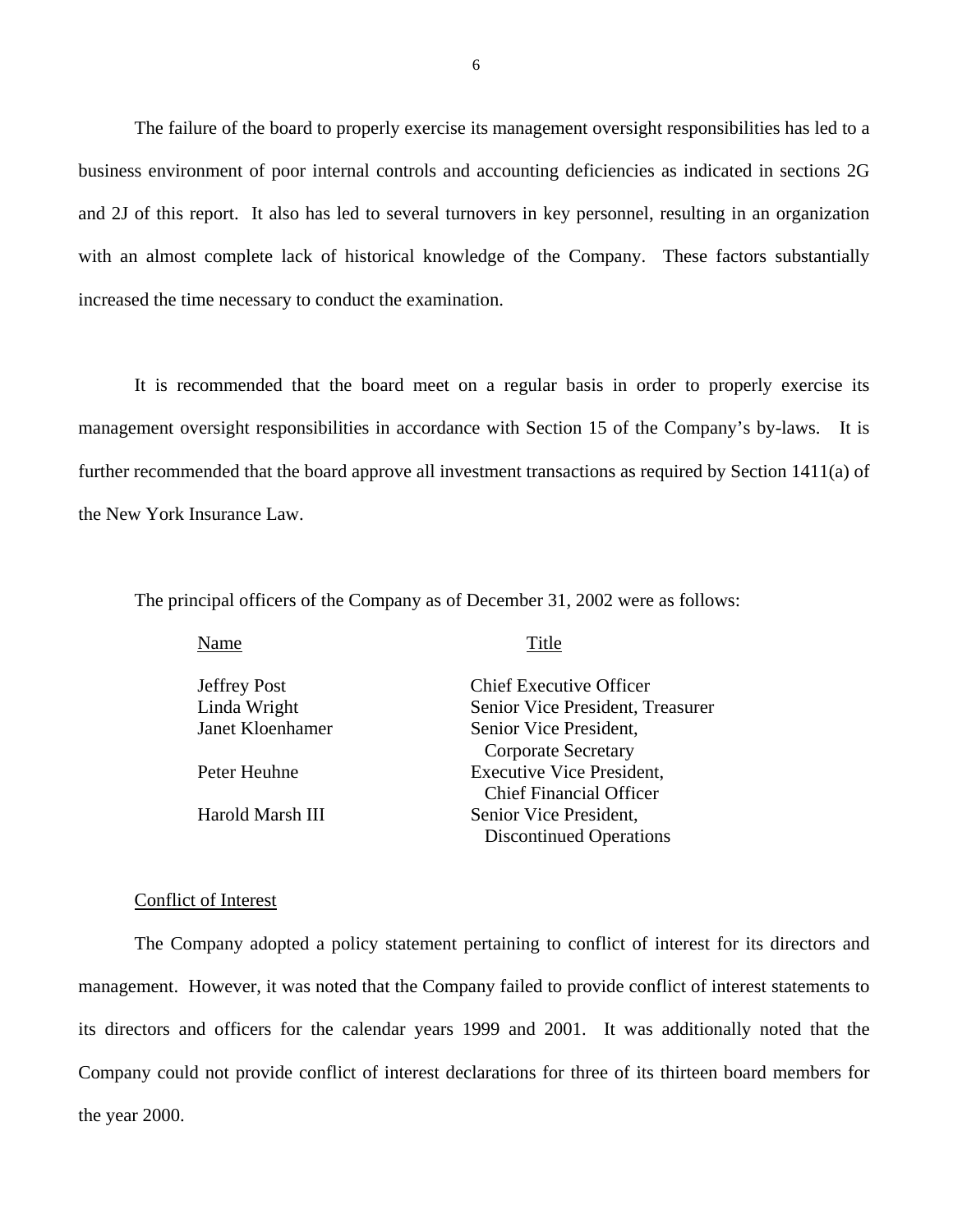The failure of the board to properly exercise its management oversight responsibilities has led to a business environment of poor internal controls and accounting deficiencies as indicated in sections 2G and 2J of this report. It also has led to several turnovers in key personnel, resulting in an organization with an almost complete lack of historical knowledge of the Company. These factors substantially increased the time necessary to conduct the examination.

It is recommended that the board meet on a regular basis in order to properly exercise its management oversight responsibilities in accordance with Section 15 of the Company's by-laws. It is further recommended that the board approve all investment transactions as required by Section 1411(a) of the New York Insurance Law.

The principal officers of the Company as of December 31, 2002 were as follows:

| Name                | Title                            |
|---------------------|----------------------------------|
| <b>Jeffrey Post</b> | <b>Chief Executive Officer</b>   |
| Linda Wright        | Senior Vice President, Treasurer |
| Janet Kloenhamer    | Senior Vice President,           |
|                     | <b>Corporate Secretary</b>       |
| Peter Heuhne        | <b>Executive Vice President,</b> |
|                     | <b>Chief Financial Officer</b>   |
| Harold Marsh III    | Senior Vice President,           |
|                     | <b>Discontinued Operations</b>   |

#### Conflict of Interest

The Company adopted a policy statement pertaining to conflict of interest for its directors and management. However, it was noted that the Company failed to provide conflict of interest statements to its directors and officers for the calendar years 1999 and 2001. It was additionally noted that the Company could not provide conflict of interest declarations for three of its thirteen board members for the year 2000.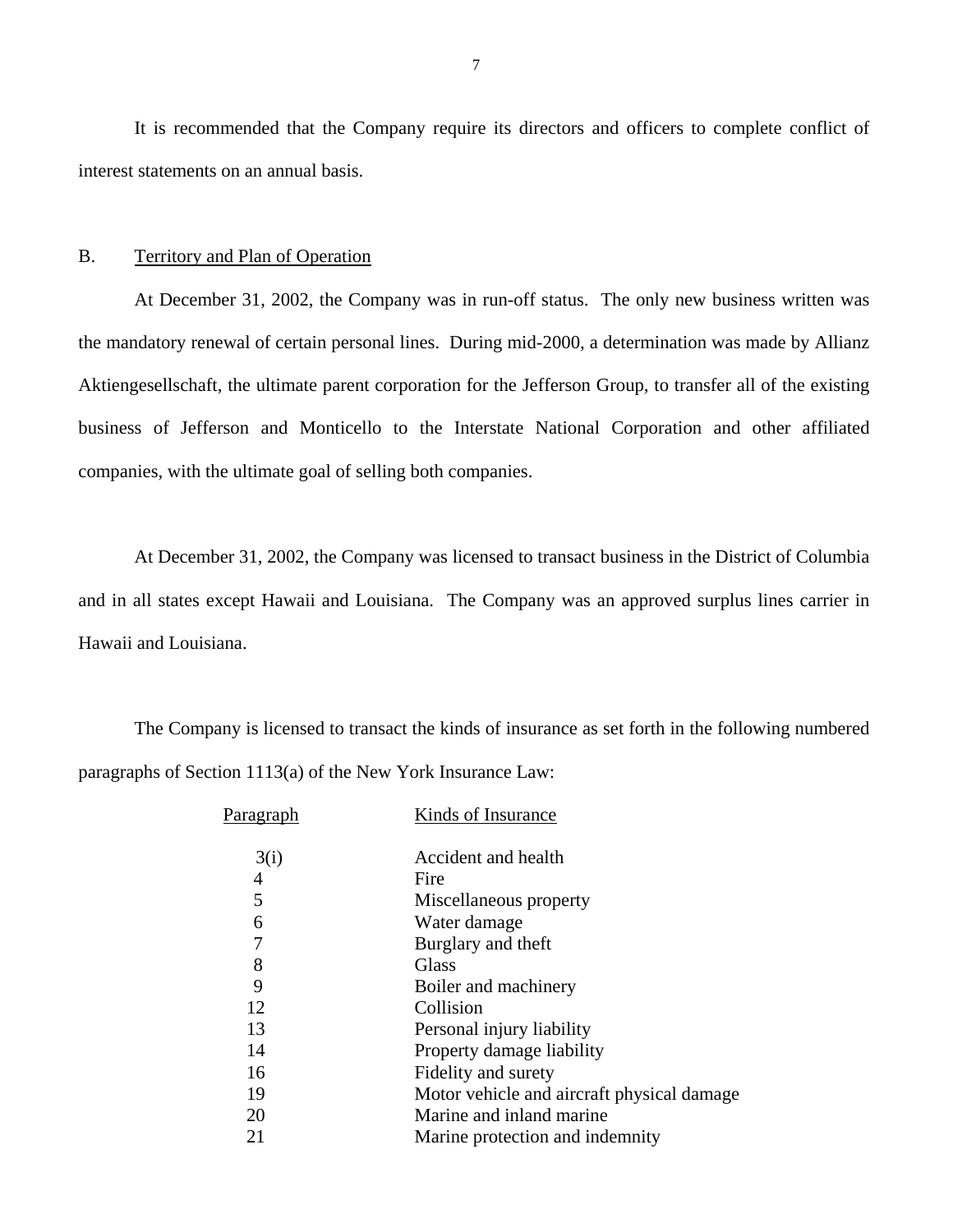It is recommended that the Company require its directors and officers to complete conflict of interest statements on an annual basis.

#### B. Territory and Plan of Operation

At December 31, 2002, the Company was in run-off status. The only new business written was the mandatory renewal of certain personal lines. During mid-2000, a determination was made by Allianz Aktiengesellschaft, the ultimate parent corporation for the Jefferson Group, to transfer all of the existing business of Jefferson and Monticello to the Interstate National Corporation and other affiliated companies, with the ultimate goal of selling both companies.

At December 31, 2002, the Company was licensed to transact business in the District of Columbia and in all states except Hawaii and Louisiana. The Company was an approved surplus lines carrier in Hawaii and Louisiana.

The Company is licensed to transact the kinds of insurance as set forth in the following numbered paragraphs of Section 1113(a) of the New York Insurance Law:

| Parag <u>raph</u> | Kinds of Insurance                         |
|-------------------|--------------------------------------------|
| 3(i)              | Accident and health                        |
| 4                 | Fire                                       |
| 5                 | Miscellaneous property                     |
| 6                 | Water damage                               |
| 7                 | Burglary and theft                         |
| 8                 | <b>Glass</b>                               |
| 9                 | Boiler and machinery                       |
| 12                | Collision                                  |
| 13                | Personal injury liability                  |
| 14                | Property damage liability                  |
| 16                | Fidelity and surety                        |
| 19                | Motor vehicle and aircraft physical damage |
| 20                | Marine and inland marine                   |
| 21                | Marine protection and indemnity            |
|                   |                                            |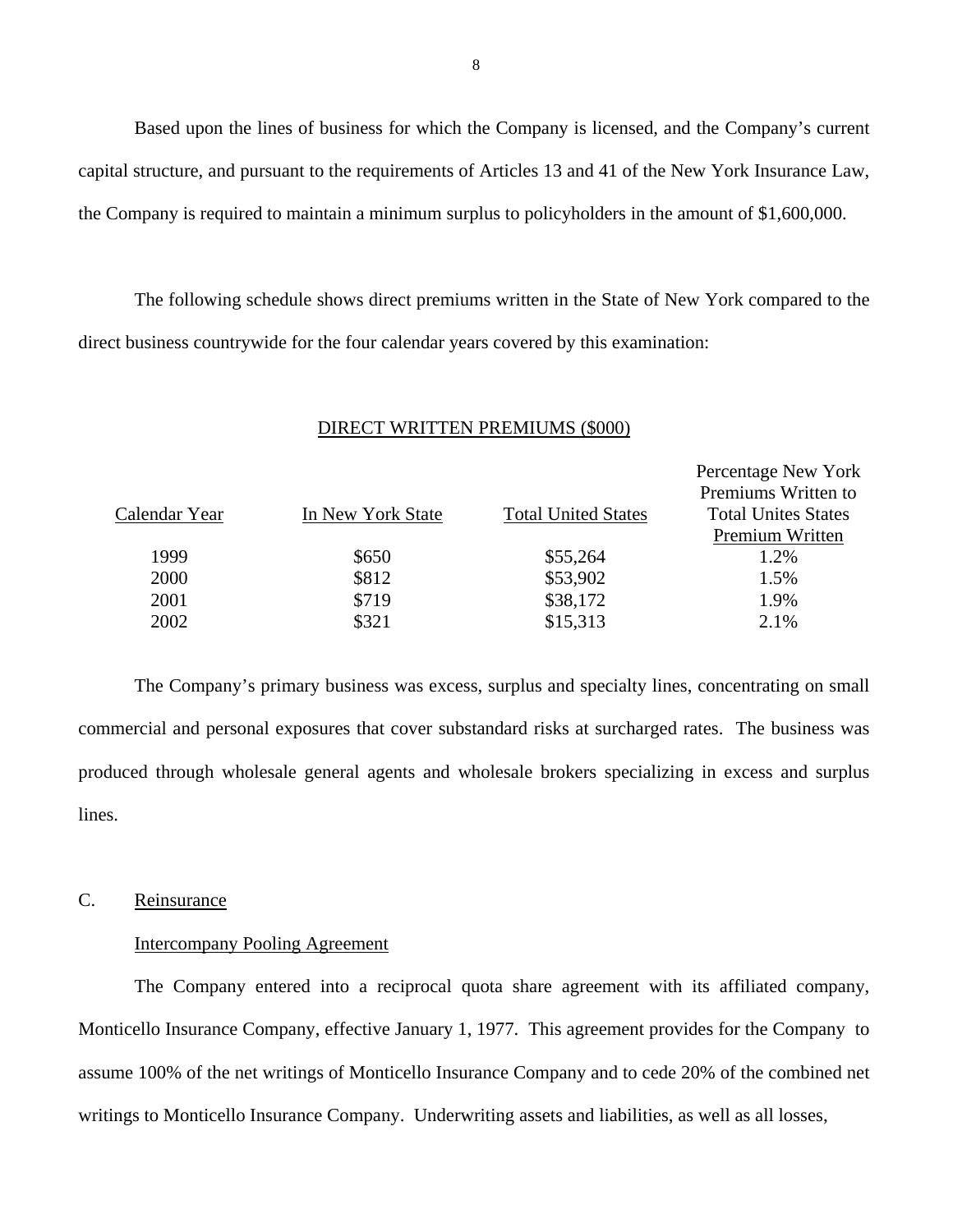Based upon the lines of business for which the Company is licensed, and the Company's current capital structure, and pursuant to the requirements of Articles 13 and 41 of the New York Insurance Law, the Company is required to maintain a minimum surplus to policyholders in the amount of \$1,600,000.

The following schedule shows direct premiums written in the State of New York compared to the direct business countrywide for the four calendar years covered by this examination:

#### DIRECT WRITTEN PREMIUMS (\$000)

|               |                   |                            | Percentage New York        |
|---------------|-------------------|----------------------------|----------------------------|
|               |                   |                            | Premiums Written to        |
| Calendar Year | In New York State | <b>Total United States</b> | <b>Total Unites States</b> |
|               |                   |                            | Premium Written            |
| 1999          | \$650             | \$55,264                   | 1.2%                       |
| 2000          | \$812             | \$53,902                   | 1.5%                       |
| 2001          | \$719             | \$38,172                   | 1.9%                       |
| 2002          | \$321             | \$15,313                   | 2.1%                       |

The Company's primary business was excess, surplus and specialty lines, concentrating on small commercial and personal exposures that cover substandard risks at surcharged rates. The business was produced through wholesale general agents and wholesale brokers specializing in excess and surplus lines.

#### C. Reinsurance

#### Intercompany Pooling Agreement

The Company entered into a reciprocal quota share agreement with its affiliated company, Monticello Insurance Company, effective January 1, 1977. This agreement provides for the Company to assume 100% of the net writings of Monticello Insurance Company and to cede 20% of the combined net writings to Monticello Insurance Company. Underwriting assets and liabilities, as well as all losses,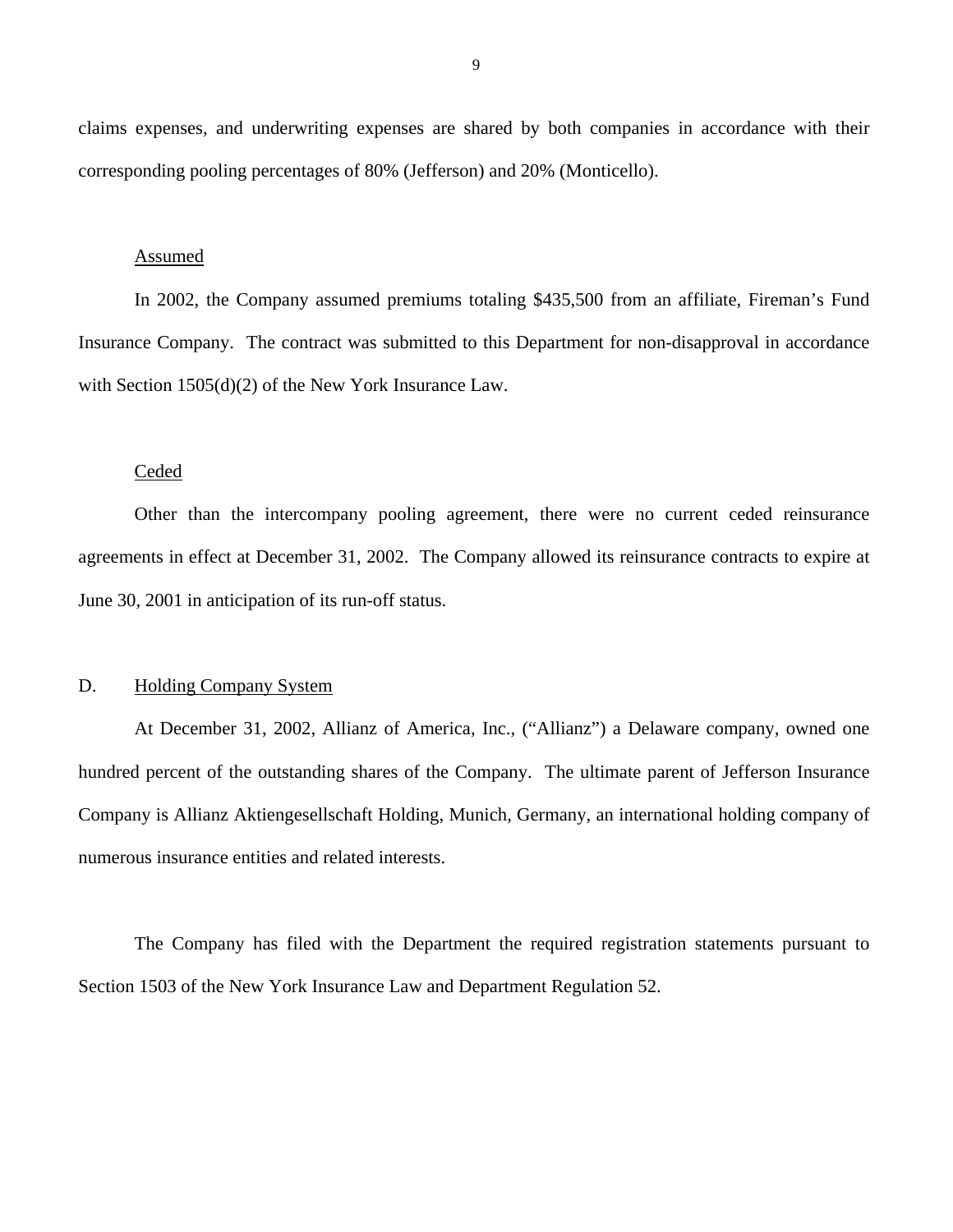<span id="page-10-0"></span>claims expenses, and underwriting expenses are shared by both companies in accordance with their corresponding pooling percentages of 80% (Jefferson) and 20% (Monticello).

#### Assumed

In 2002, the Company assumed premiums totaling \$435,500 from an affiliate, Fireman's Fund Insurance Company. The contract was submitted to this Department for non-disapproval in accordance with Section 1505(d)(2) of the New York Insurance Law.

#### Ceded

Other than the intercompany pooling agreement, there were no current ceded reinsurance agreements in effect at December 31, 2002. The Company allowed its reinsurance contracts to expire at June 30, 2001 in anticipation of its run-off status.

#### D. Holding Company System

At December 31, 2002, Allianz of America, Inc., ("Allianz") a Delaware company, owned one hundred percent of the outstanding shares of the Company. The ultimate parent of Jefferson Insurance Company is Allianz Aktiengesellschaft Holding, Munich, Germany, an international holding company of numerous insurance entities and related interests.

The Company has filed with the Department the required registration statements pursuant to Section 1503 of the New York Insurance Law and Department Regulation 52.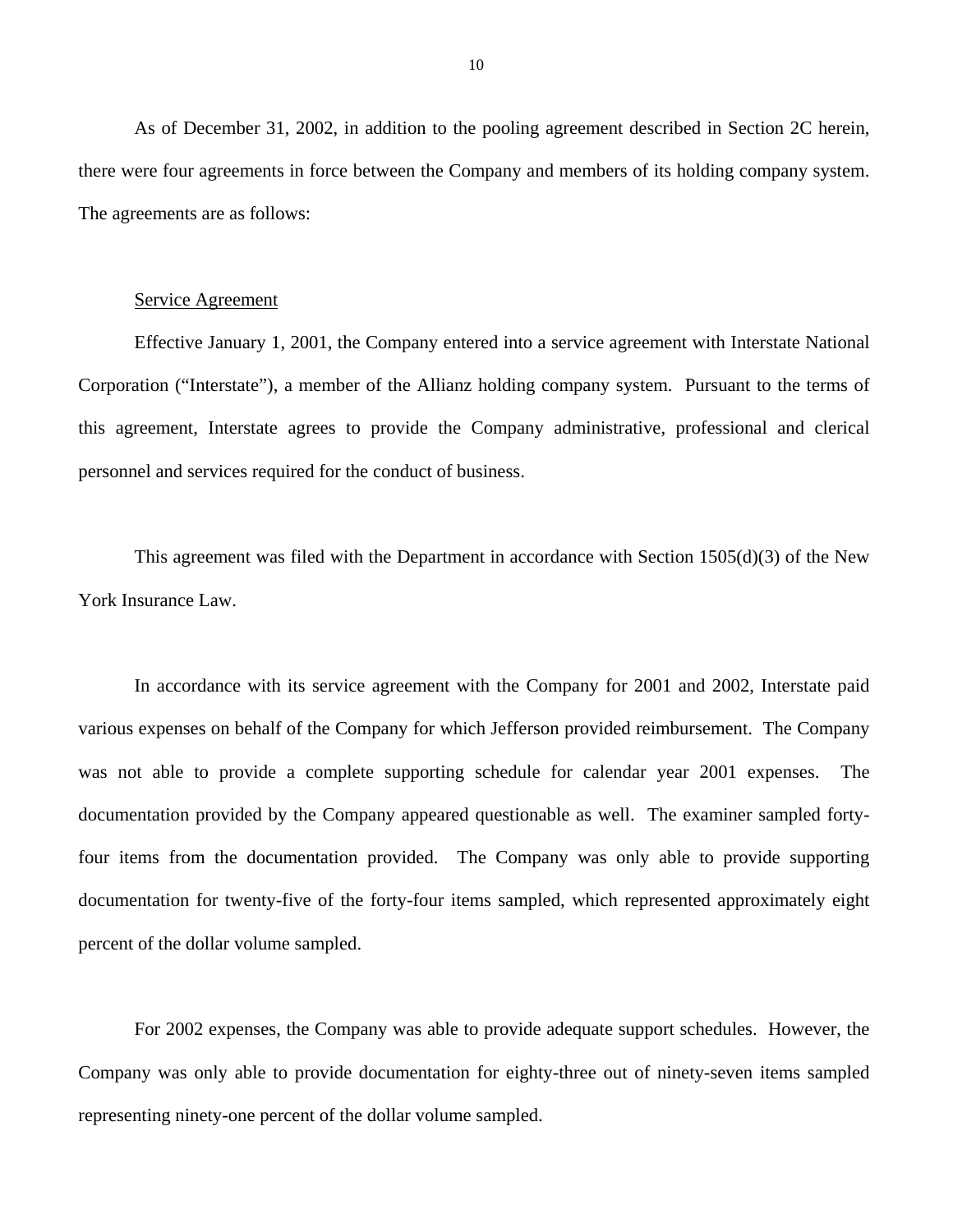As of December 31, 2002, in addition to the pooling agreement described in Section 2C herein, there were four agreements in force between the Company and members of its holding company system. The agreements are as follows:

#### Service Agreement

Effective January 1, 2001, the Company entered into a service agreement with Interstate National Corporation ("Interstate"), a member of the Allianz holding company system. Pursuant to the terms of this agreement, Interstate agrees to provide the Company administrative, professional and clerical personnel and services required for the conduct of business.

This agreement was filed with the Department in accordance with Section 1505(d)(3) of the New York Insurance Law.

In accordance with its service agreement with the Company for 2001 and 2002, Interstate paid various expenses on behalf of the Company for which Jefferson provided reimbursement. The Company was not able to provide a complete supporting schedule for calendar year 2001 expenses. The documentation provided by the Company appeared questionable as well. The examiner sampled fortyfour items from the documentation provided. The Company was only able to provide supporting documentation for twenty-five of the forty-four items sampled, which represented approximately eight percent of the dollar volume sampled.

For 2002 expenses, the Company was able to provide adequate support schedules. However, the Company was only able to provide documentation for eighty-three out of ninety-seven items sampled representing ninety-one percent of the dollar volume sampled.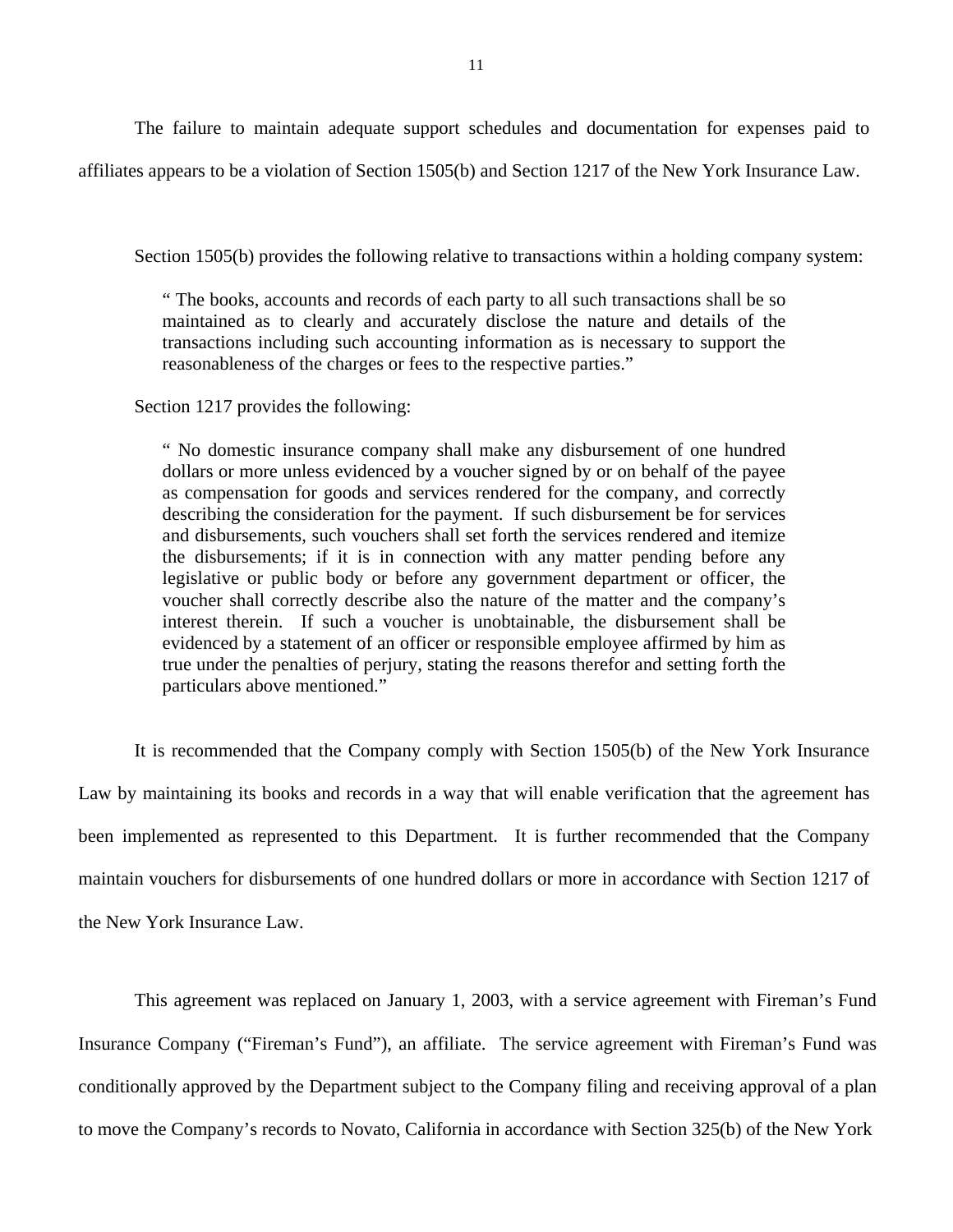The failure to maintain adequate support schedules and documentation for expenses paid to affiliates appears to be a violation of Section 1505(b) and Section 1217 of the New York Insurance Law.

Section 1505(b) provides the following relative to transactions within a holding company system:

" The books, accounts and records of each party to all such transactions shall be so maintained as to clearly and accurately disclose the nature and details of the transactions including such accounting information as is necessary to support the reasonableness of the charges or fees to the respective parties."

Section 1217 provides the following:

" No domestic insurance company shall make any disbursement of one hundred dollars or more unless evidenced by a voucher signed by or on behalf of the payee as compensation for goods and services rendered for the company, and correctly describing the consideration for the payment. If such disbursement be for services and disbursements, such vouchers shall set forth the services rendered and itemize the disbursements; if it is in connection with any matter pending before any legislative or public body or before any government department or officer, the voucher shall correctly describe also the nature of the matter and the company's interest therein. If such a voucher is unobtainable, the disbursement shall be evidenced by a statement of an officer or responsible employee affirmed by him as true under the penalties of perjury, stating the reasons therefor and setting forth the particulars above mentioned."

It is recommended that the Company comply with Section 1505(b) of the New York Insurance Law by maintaining its books and records in a way that will enable verification that the agreement has been implemented as represented to this Department. It is further recommended that the Company maintain vouchers for disbursements of one hundred dollars or more in accordance with Section 1217 of the New York Insurance Law.

This agreement was replaced on January 1, 2003, with a service agreement with Fireman's Fund Insurance Company ("Fireman's Fund"), an affiliate. The service agreement with Fireman's Fund was conditionally approved by the Department subject to the Company filing and receiving approval of a plan to move the Company's records to Novato, California in accordance with Section 325(b) of the New York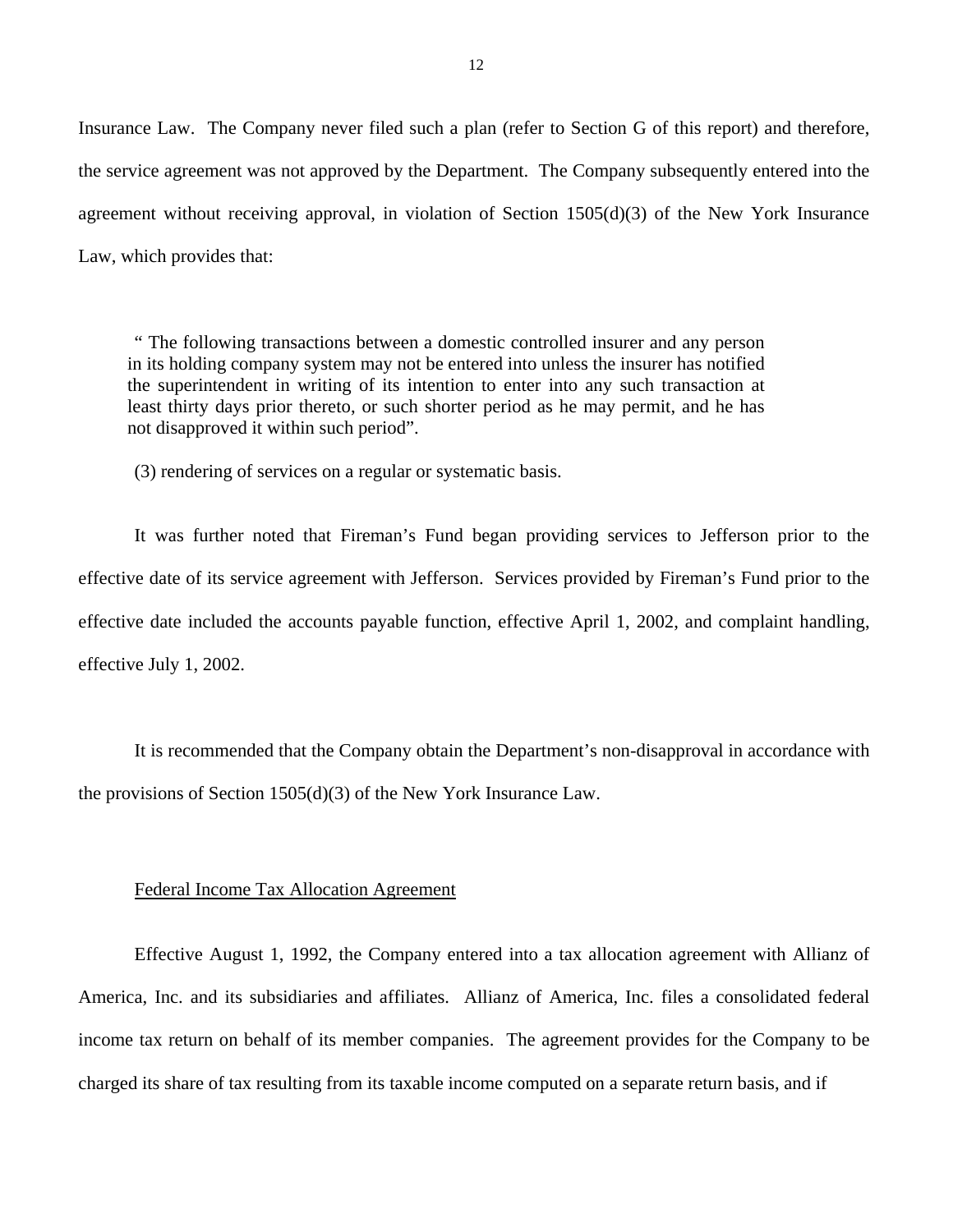Insurance Law. The Company never filed such a plan (refer to Section G of this report) and therefore, the service agreement was not approved by the Department. The Company subsequently entered into the agreement without receiving approval, in violation of Section 1505(d)(3) of the New York Insurance Law, which provides that:

" The following transactions between a domestic controlled insurer and any person in its holding company system may not be entered into unless the insurer has notified the superintendent in writing of its intention to enter into any such transaction at least thirty days prior thereto, or such shorter period as he may permit, and he has not disapproved it within such period".

(3) rendering of services on a regular or systematic basis.

It was further noted that Fireman's Fund began providing services to Jefferson prior to the effective date of its service agreement with Jefferson. Services provided by Fireman's Fund prior to the effective date included the accounts payable function, effective April 1, 2002, and complaint handling, effective July 1, 2002.

It is recommended that the Company obtain the Department's non-disapproval in accordance with the provisions of Section 1505(d)(3) of the New York Insurance Law.

#### Federal Income Tax Allocation Agreement

Effective August 1, 1992, the Company entered into a tax allocation agreement with Allianz of America, Inc. and its subsidiaries and affiliates. Allianz of America, Inc. files a consolidated federal income tax return on behalf of its member companies. The agreement provides for the Company to be charged its share of tax resulting from its taxable income computed on a separate return basis, and if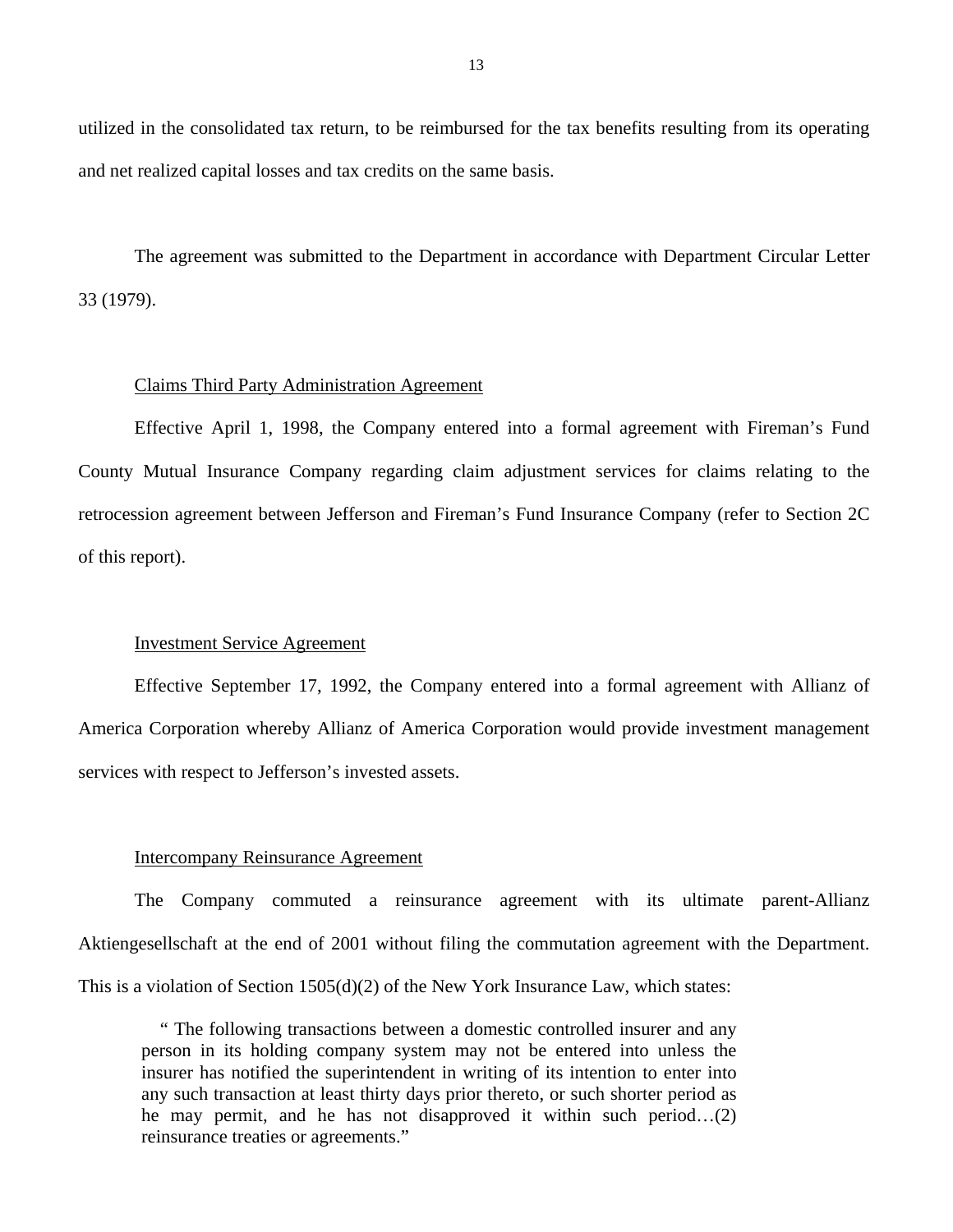utilized in the consolidated tax return, to be reimbursed for the tax benefits resulting from its operating and net realized capital losses and tax credits on the same basis.

The agreement was submitted to the Department in accordance with Department Circular Letter 33 (1979).

#### Claims Third Party Administration Agreement

Effective April 1, 1998, the Company entered into a formal agreement with Fireman's Fund County Mutual Insurance Company regarding claim adjustment services for claims relating to the retrocession agreement between Jefferson and Fireman's Fund Insurance Company (refer to Section 2C of this report).

#### Investment Service Agreement

Effective September 17, 1992, the Company entered into a formal agreement with Allianz of America Corporation whereby Allianz of America Corporation would provide investment management services with respect to Jefferson's invested assets.

#### Intercompany Reinsurance Agreement

The Company commuted a reinsurance agreement with its ultimate parent-Allianz Aktiengesellschaft at the end of 2001 without filing the commutation agreement with the Department. This is a violation of Section  $1505(d)(2)$  of the New York Insurance Law, which states:

" The following transactions between a domestic controlled insurer and any person in its holding company system may not be entered into unless the insurer has notified the superintendent in writing of its intention to enter into any such transaction at least thirty days prior thereto, or such shorter period as he may permit, and he has not disapproved it within such period…(2) reinsurance treaties or agreements."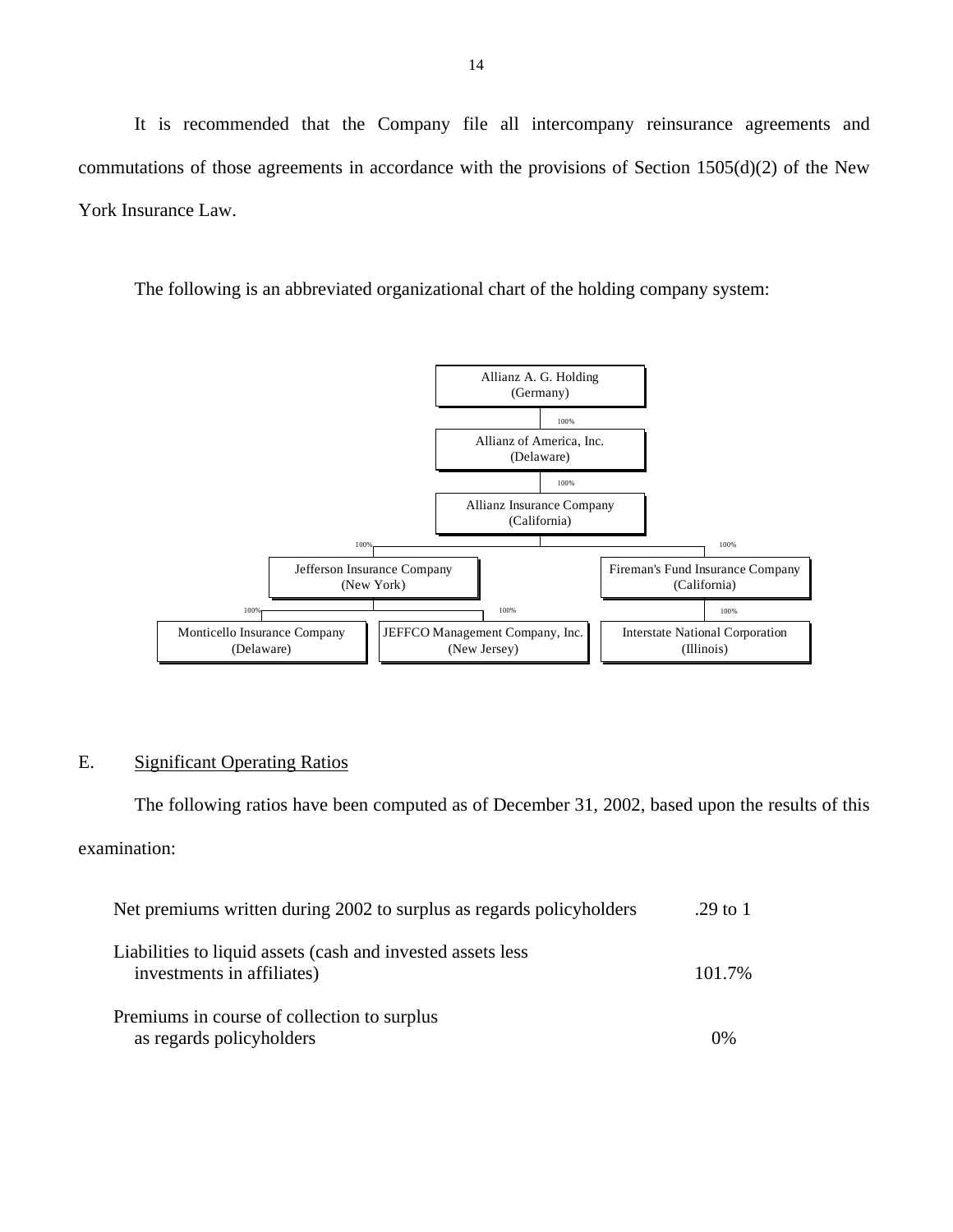<span id="page-15-0"></span>It is recommended that the Company file all intercompany reinsurance agreements and commutations of those agreements in accordance with the provisions of Section 1505(d)(2) of the New York Insurance Law.

The following is an abbreviated organizational chart of the holding company system:



# E. Significant Operating Ratios

The following ratios have been computed as of December 31, 2002, based upon the results of this examination:

| Net premiums written during 2002 to surplus as regards policyholders                      | .29 to 1 |
|-------------------------------------------------------------------------------------------|----------|
| Liabilities to liquid assets (cash and invested assets less<br>investments in affiliates) | 101.7%   |
| Premiums in course of collection to surplus<br>as regards policyholders                   | 0%       |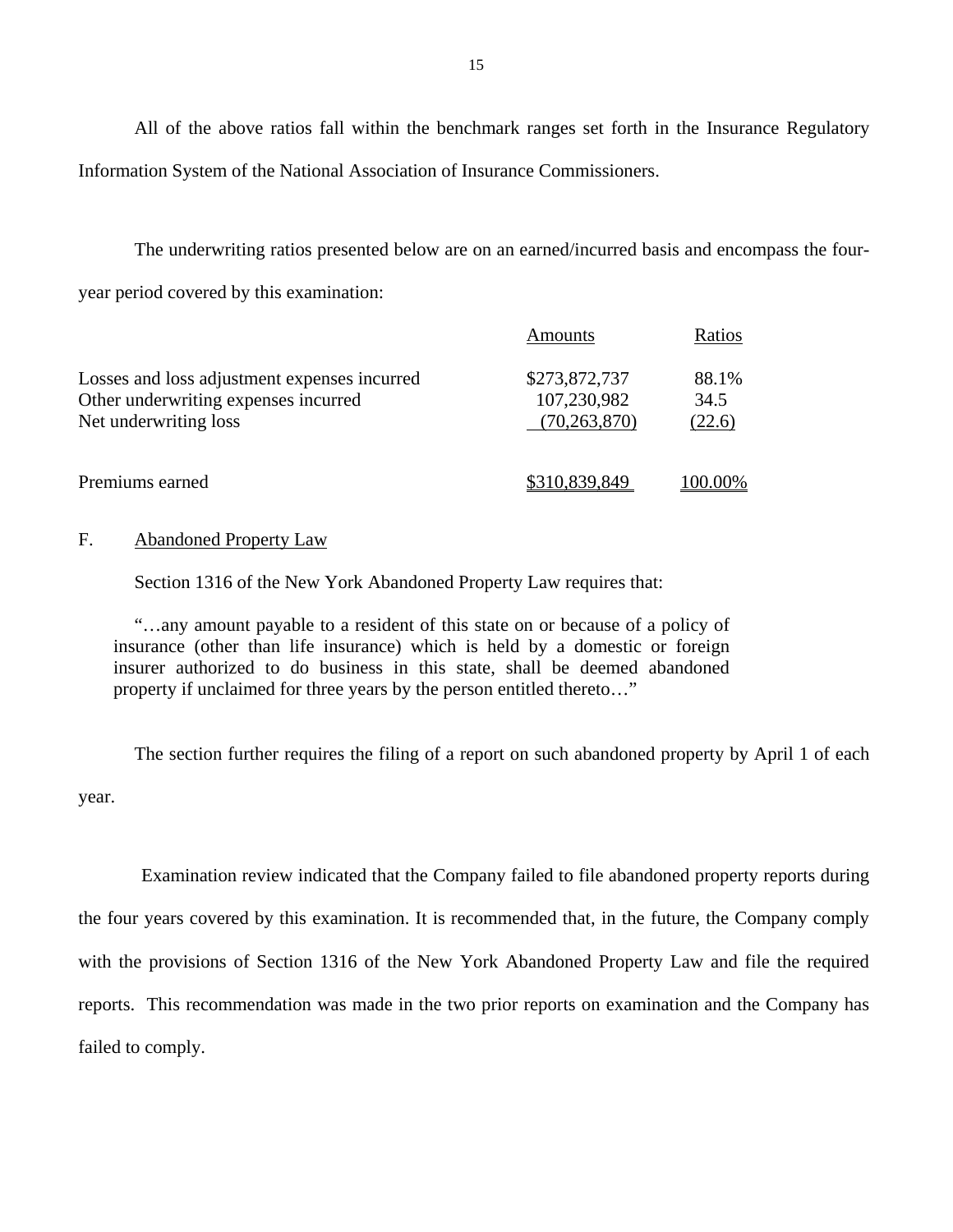All of the above ratios fall within the benchmark ranges set forth in the Insurance Regulatory Information System of the National Association of Insurance Commissioners.

The underwriting ratios presented below are on an earned/incurred basis and encompass the fouryear period covered by this examination:

|                                                                                                               | Amounts                                        | Ratios                  |
|---------------------------------------------------------------------------------------------------------------|------------------------------------------------|-------------------------|
| Losses and loss adjustment expenses incurred<br>Other underwriting expenses incurred<br>Net underwriting loss | \$273,872,737<br>107,230,982<br>(70, 263, 870) | 88.1%<br>34.5<br>(22.6) |
| Premiums earned                                                                                               | \$310,839,849                                  | 100.00%                 |

#### F. Abandoned Property Law

Section 1316 of the New York Abandoned Property Law requires that:

"…any amount payable to a resident of this state on or because of a policy of insurance (other than life insurance) which is held by a domestic or foreign insurer authorized to do business in this state, shall be deemed abandoned property if unclaimed for three years by the person entitled thereto…"

The section further requires the filing of a report on such abandoned property by April 1 of each year.

Examination review indicated that the Company failed to file abandoned property reports during the four years covered by this examination. It is recommended that, in the future, the Company comply with the provisions of Section 1316 of the New York Abandoned Property Law and file the required reports. This recommendation was made in the two prior reports on examination and the Company has failed to comply.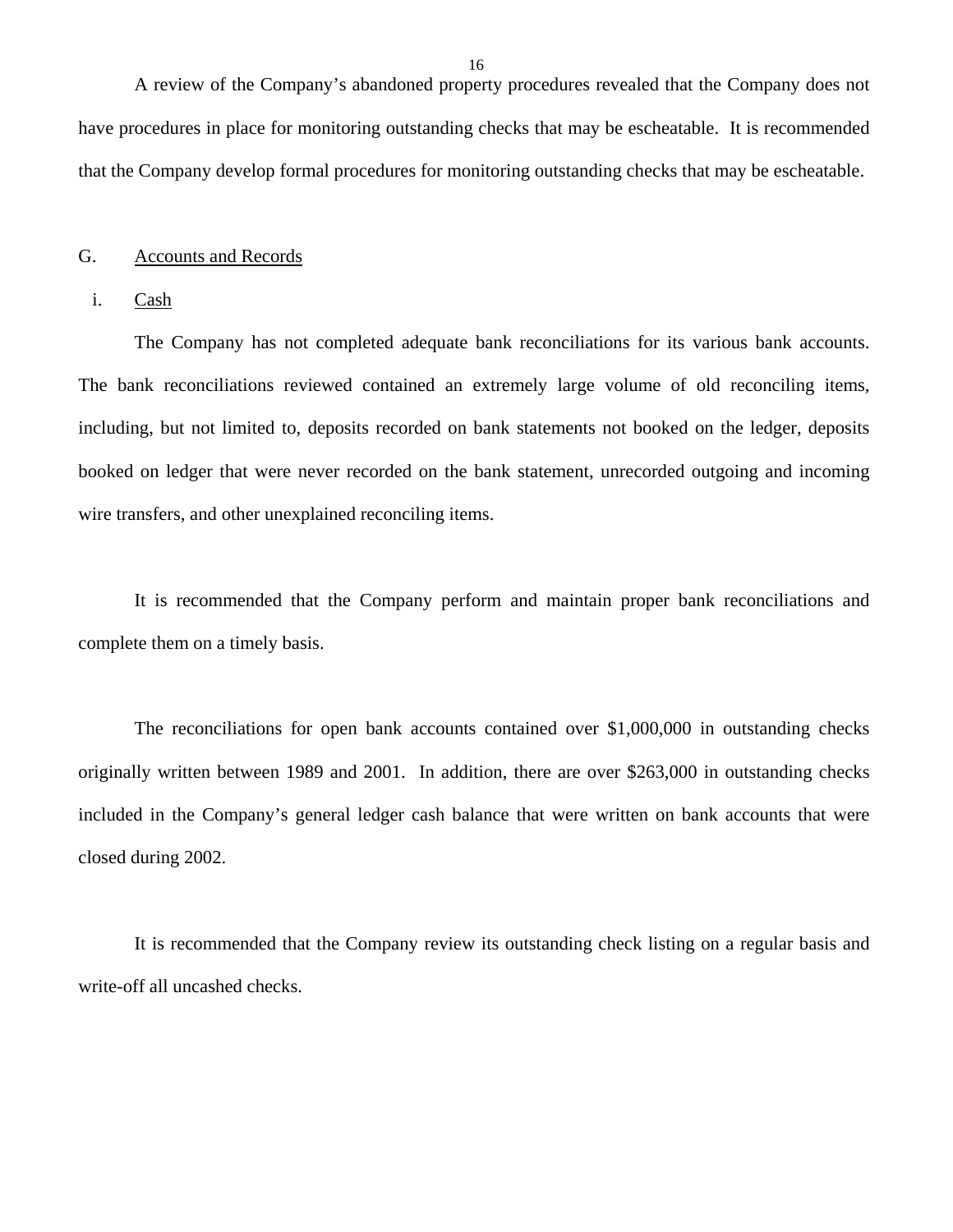A review of the Company's abandoned property procedures revealed that the Company does not have procedures in place for monitoring outstanding checks that may be escheatable. It is recommended that the Company develop formal procedures for monitoring outstanding checks that may be escheatable.

#### G. Accounts and Records

#### i. Cash

The Company has not completed adequate bank reconciliations for its various bank accounts. The bank reconciliations reviewed contained an extremely large volume of old reconciling items, including, but not limited to, deposits recorded on bank statements not booked on the ledger, deposits booked on ledger that were never recorded on the bank statement, unrecorded outgoing and incoming wire transfers, and other unexplained reconciling items.

It is recommended that the Company perform and maintain proper bank reconciliations and complete them on a timely basis.

The reconciliations for open bank accounts contained over \$1,000,000 in outstanding checks originally written between 1989 and 2001. In addition, there are over \$263,000 in outstanding checks included in the Company's general ledger cash balance that were written on bank accounts that were closed during 2002.

It is recommended that the Company review its outstanding check listing on a regular basis and write-off all uncashed checks.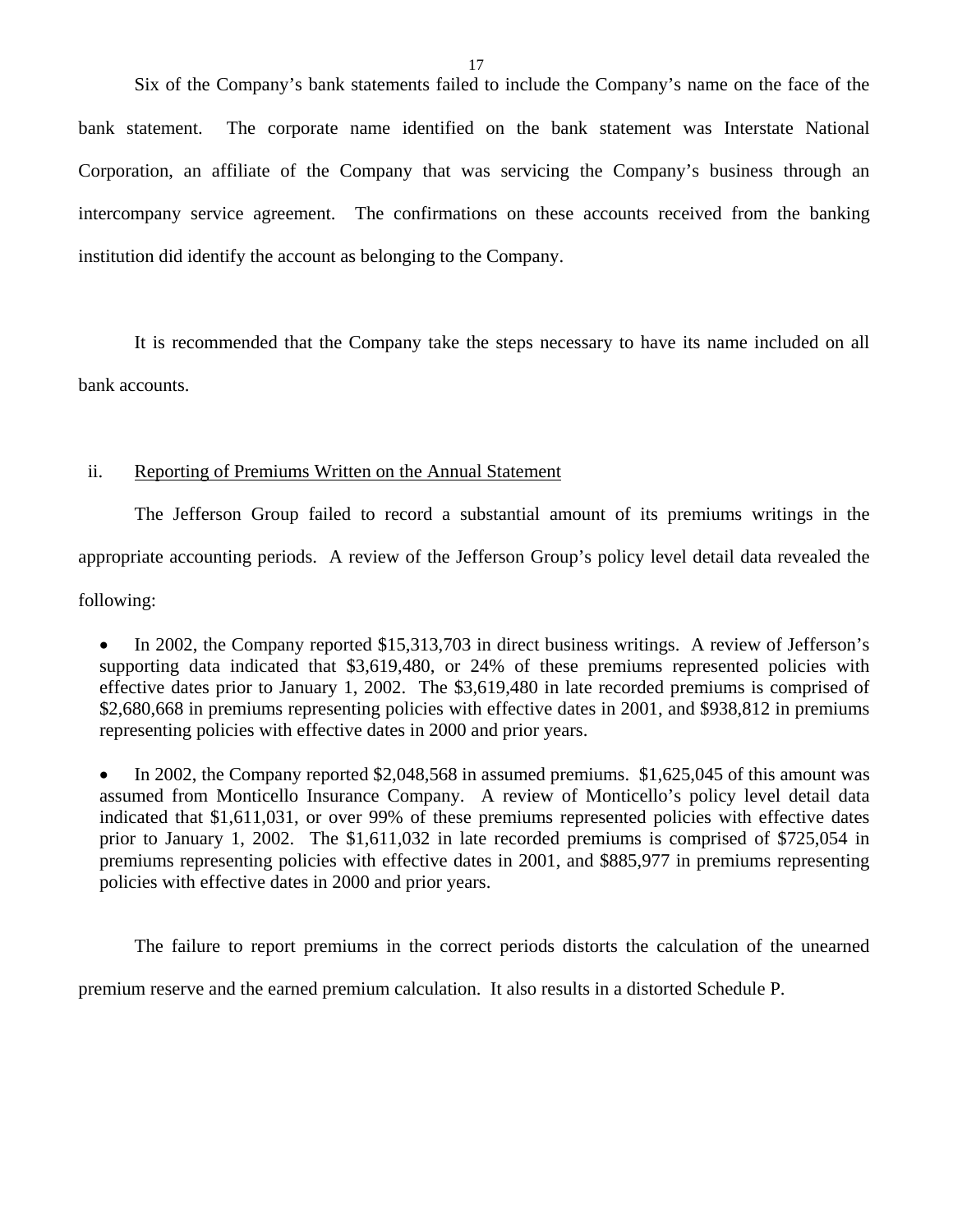Six of the Company's bank statements failed to include the Company's name on the face of the bank statement. The corporate name identified on the bank statement was Interstate National Corporation, an affiliate of the Company that was servicing the Company's business through an intercompany service agreement. The confirmations on these accounts received from the banking institution did identify the account as belonging to the Company.

It is recommended that the Company take the steps necessary to have its name included on all bank accounts.

#### ii. Reporting of Premiums Written on the Annual Statement

The Jefferson Group failed to record a substantial amount of its premiums writings in the appropriate accounting periods. A review of the Jefferson Group's policy level detail data revealed the following:

• In 2002, the Company reported \$15,313,703 in direct business writings. A review of Jefferson's supporting data indicated that \$3,619,480, or 24% of these premiums represented policies with effective dates prior to January 1, 2002. The \$3,619,480 in late recorded premiums is comprised of \$2,680,668 in premiums representing policies with effective dates in 2001, and \$938,812 in premiums representing policies with effective dates in 2000 and prior years.

• In 2002, the Company reported \$2,048,568 in assumed premiums. \$1,625,045 of this amount was assumed from Monticello Insurance Company. A review of Monticello's policy level detail data indicated that \$1,611,031, or over 99% of these premiums represented policies with effective dates prior to January 1, 2002. The \$1,611,032 in late recorded premiums is comprised of \$725,054 in premiums representing policies with effective dates in 2001, and \$885,977 in premiums representing policies with effective dates in 2000 and prior years.

The failure to report premiums in the correct periods distorts the calculation of the unearned premium reserve and the earned premium calculation. It also results in a distorted Schedule P.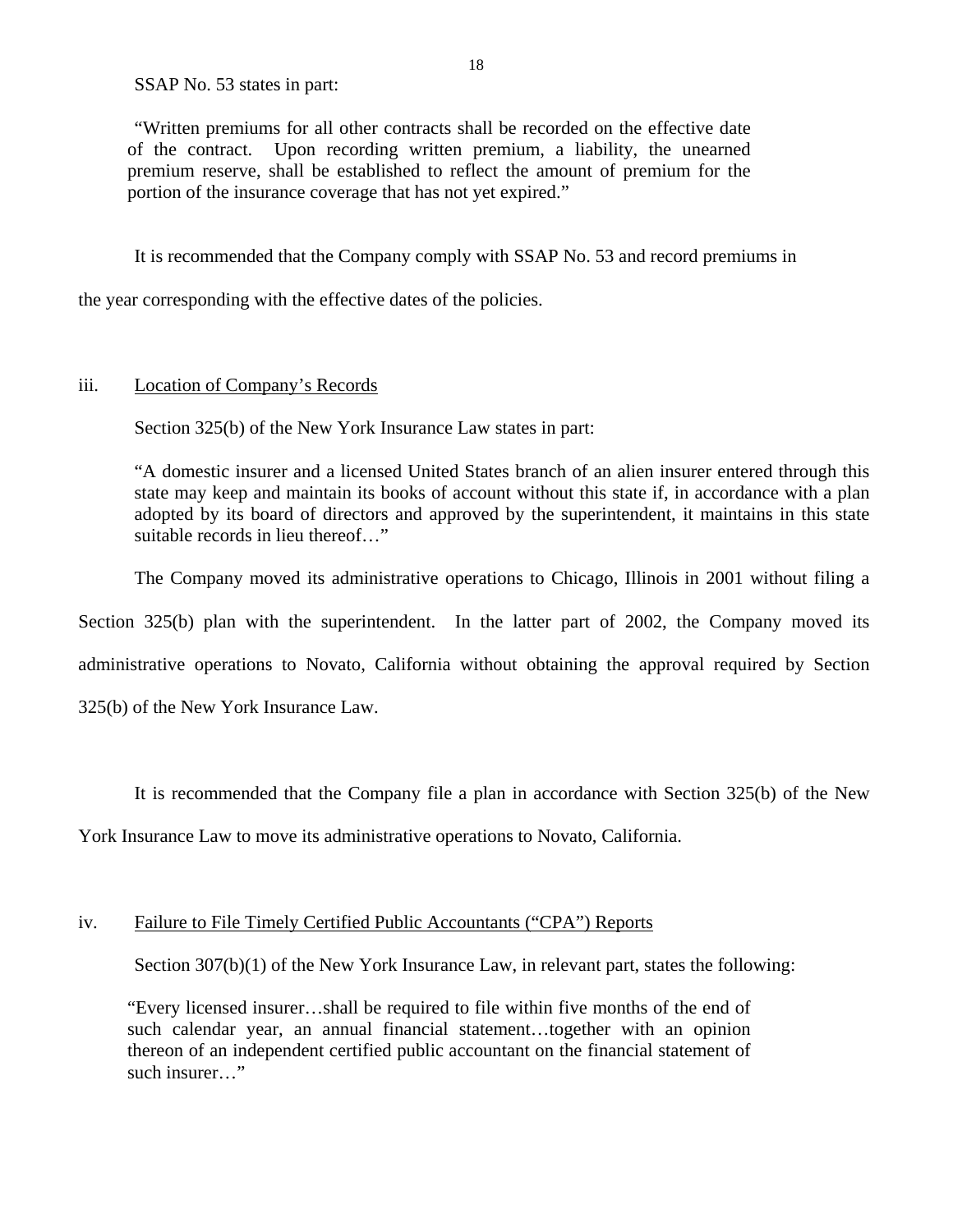SSAP No. 53 states in part:

"Written premiums for all other contracts shall be recorded on the effective date of the contract. Upon recording written premium, a liability, the unearned premium reserve, shall be established to reflect the amount of premium for the portion of the insurance coverage that has not yet expired."

It is recommended that the Company comply with SSAP No. 53 and record premiums in

the year corresponding with the effective dates of the policies.

#### iii. Location of Company's Records

Section 325(b) of the New York Insurance Law states in part:

"A domestic insurer and a licensed United States branch of an alien insurer entered through this state may keep and maintain its books of account without this state if, in accordance with a plan adopted by its board of directors and approved by the superintendent, it maintains in this state suitable records in lieu thereof…"

The Company moved its administrative operations to Chicago, Illinois in 2001 without filing a Section 325(b) plan with the superintendent. In the latter part of 2002, the Company moved its administrative operations to Novato, California without obtaining the approval required by Section 325(b) of the New York Insurance Law.

It is recommended that the Company file a plan in accordance with Section 325(b) of the New

York Insurance Law to move its administrative operations to Novato, California.

#### iv. Failure to File Timely Certified Public Accountants ("CPA") Reports

Section 307(b)(1) of the New York Insurance Law, in relevant part, states the following:

"Every licensed insurer…shall be required to file within five months of the end of such calendar year, an annual financial statement…together with an opinion thereon of an independent certified public accountant on the financial statement of such insurer…"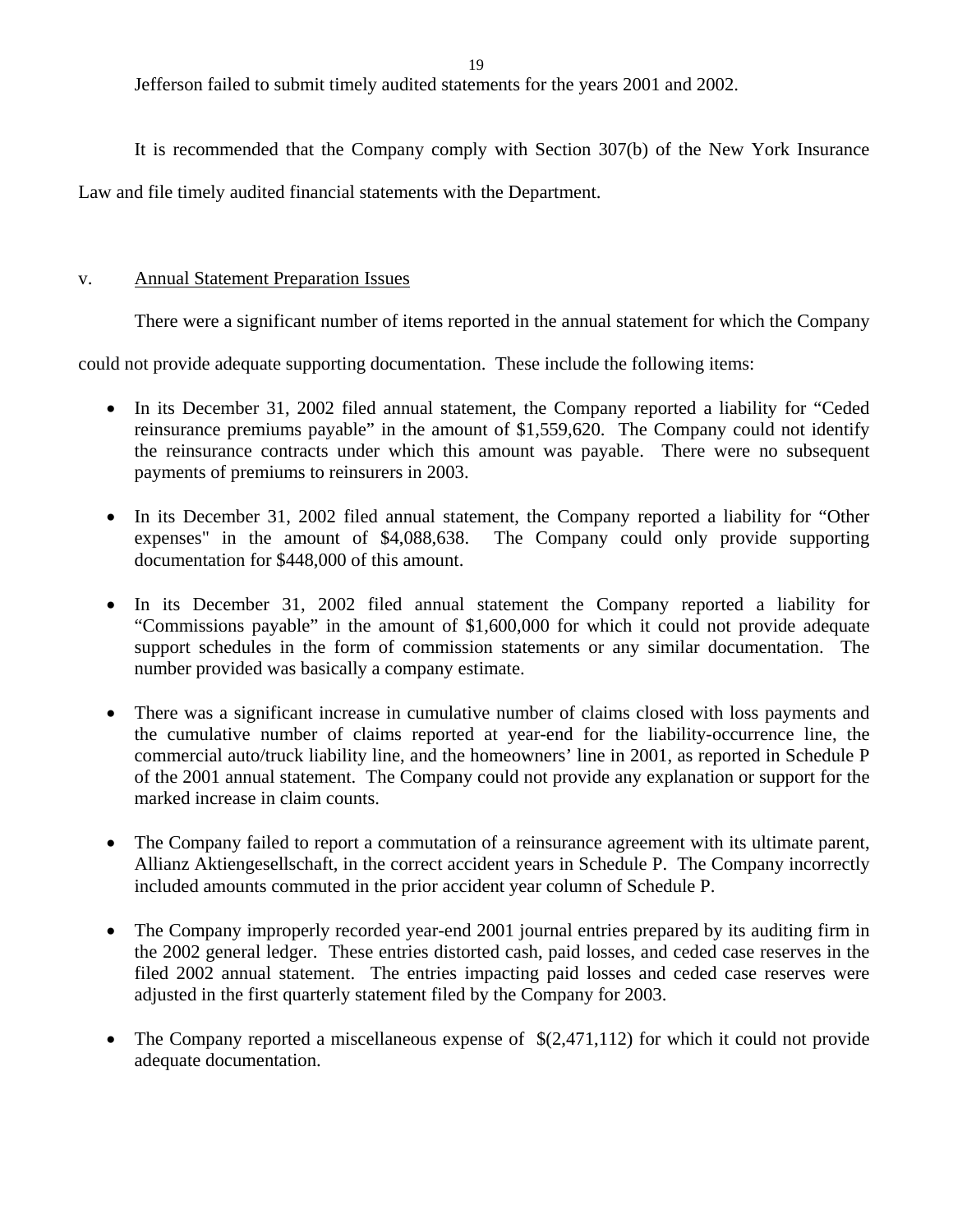19

Jefferson failed to submit timely audited statements for the years 2001 and 2002.

It is recommended that the Company comply with Section 307(b) of the New York Insurance Law and file timely audited financial statements with the Department.

#### v. Annual Statement Preparation Issues

There were a significant number of items reported in the annual statement for which the Company

could not provide adequate supporting documentation. These include the following items:

- In its December 31, 2002 filed annual statement, the Company reported a liability for "Ceded reinsurance premiums payable" in the amount of \$1,559,620. The Company could not identify the reinsurance contracts under which this amount was payable. There were no subsequent payments of premiums to reinsurers in 2003.
- In its December 31, 2002 filed annual statement, the Company reported a liability for "Other expenses" in the amount of \$4,088,638. The Company could only provide supporting documentation for \$448,000 of this amount.
- In its December 31, 2002 filed annual statement the Company reported a liability for "Commissions payable" in the amount of \$1,600,000 for which it could not provide adequate support schedules in the form of commission statements or any similar documentation. The number provided was basically a company estimate.
- There was a significant increase in cumulative number of claims closed with loss payments and the cumulative number of claims reported at year-end for the liability-occurrence line, the commercial auto/truck liability line, and the homeowners' line in 2001, as reported in Schedule P of the 2001 annual statement. The Company could not provide any explanation or support for the marked increase in claim counts.
- The Company failed to report a commutation of a reinsurance agreement with its ultimate parent, Allianz Aktiengesellschaft, in the correct accident years in Schedule P. The Company incorrectly included amounts commuted in the prior accident year column of Schedule P.
- The Company improperly recorded year-end 2001 journal entries prepared by its auditing firm in the 2002 general ledger. These entries distorted cash, paid losses, and ceded case reserves in the filed 2002 annual statement. The entries impacting paid losses and ceded case reserves were adjusted in the first quarterly statement filed by the Company for 2003.
- The Company reported a miscellaneous expense of  $\$(2,471,112)$  for which it could not provide adequate documentation.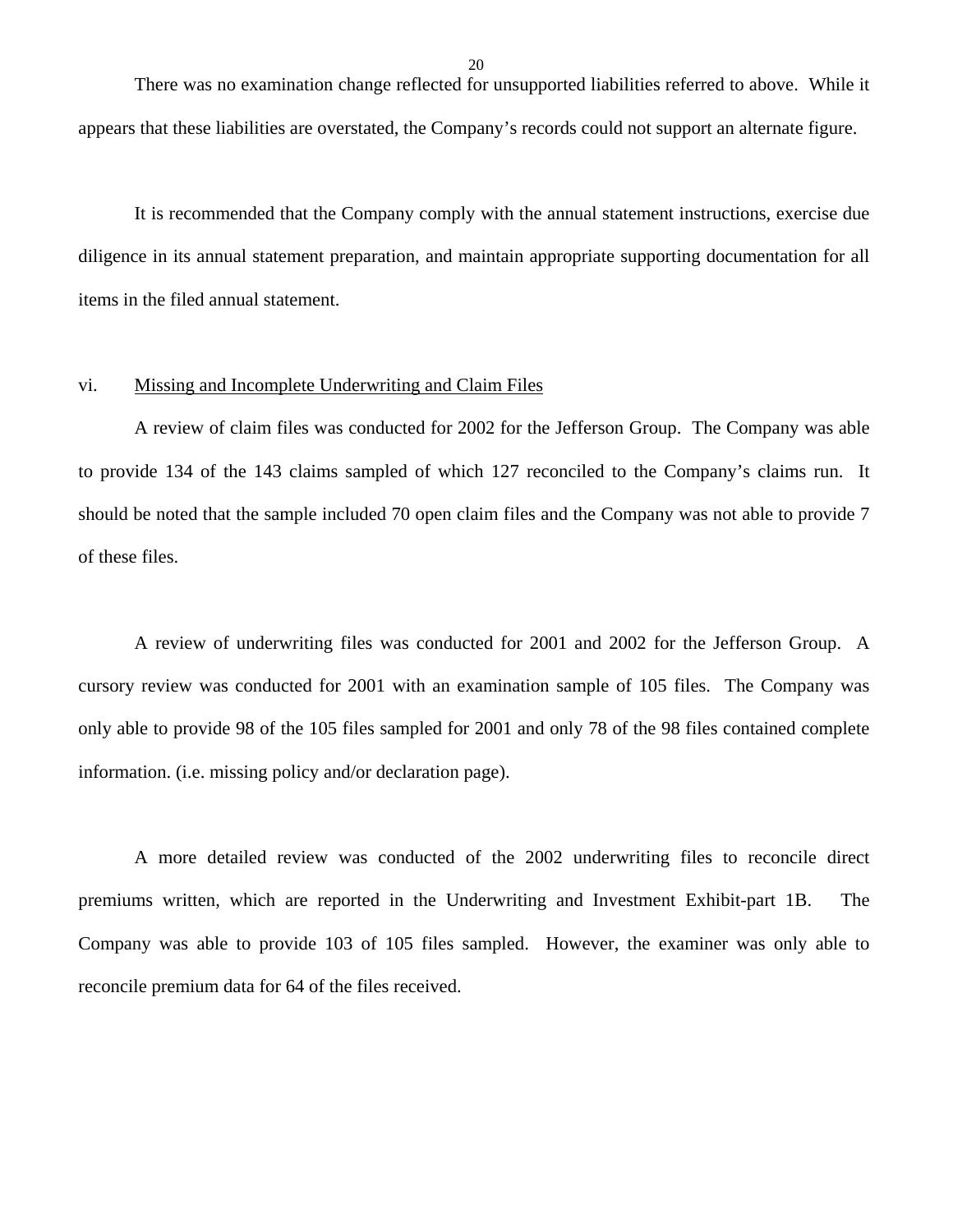There was no examination change reflected for unsupported liabilities referred to above. While it appears that these liabilities are overstated, the Company's records could not support an alternate figure.

It is recommended that the Company comply with the annual statement instructions, exercise due diligence in its annual statement preparation, and maintain appropriate supporting documentation for all items in the filed annual statement.

#### vi. Missing and Incomplete Underwriting and Claim Files

A review of claim files was conducted for 2002 for the Jefferson Group. The Company was able to provide 134 of the 143 claims sampled of which 127 reconciled to the Company's claims run. It should be noted that the sample included 70 open claim files and the Company was not able to provide 7 of these files.

A review of underwriting files was conducted for 2001 and 2002 for the Jefferson Group. A cursory review was conducted for 2001 with an examination sample of 105 files. The Company was only able to provide 98 of the 105 files sampled for 2001 and only 78 of the 98 files contained complete information. (i.e. missing policy and/or declaration page).

A more detailed review was conducted of the 2002 underwriting files to reconcile direct premiums written, which are reported in the Underwriting and Investment Exhibit-part 1B. The Company was able to provide 103 of 105 files sampled. However, the examiner was only able to reconcile premium data for 64 of the files received.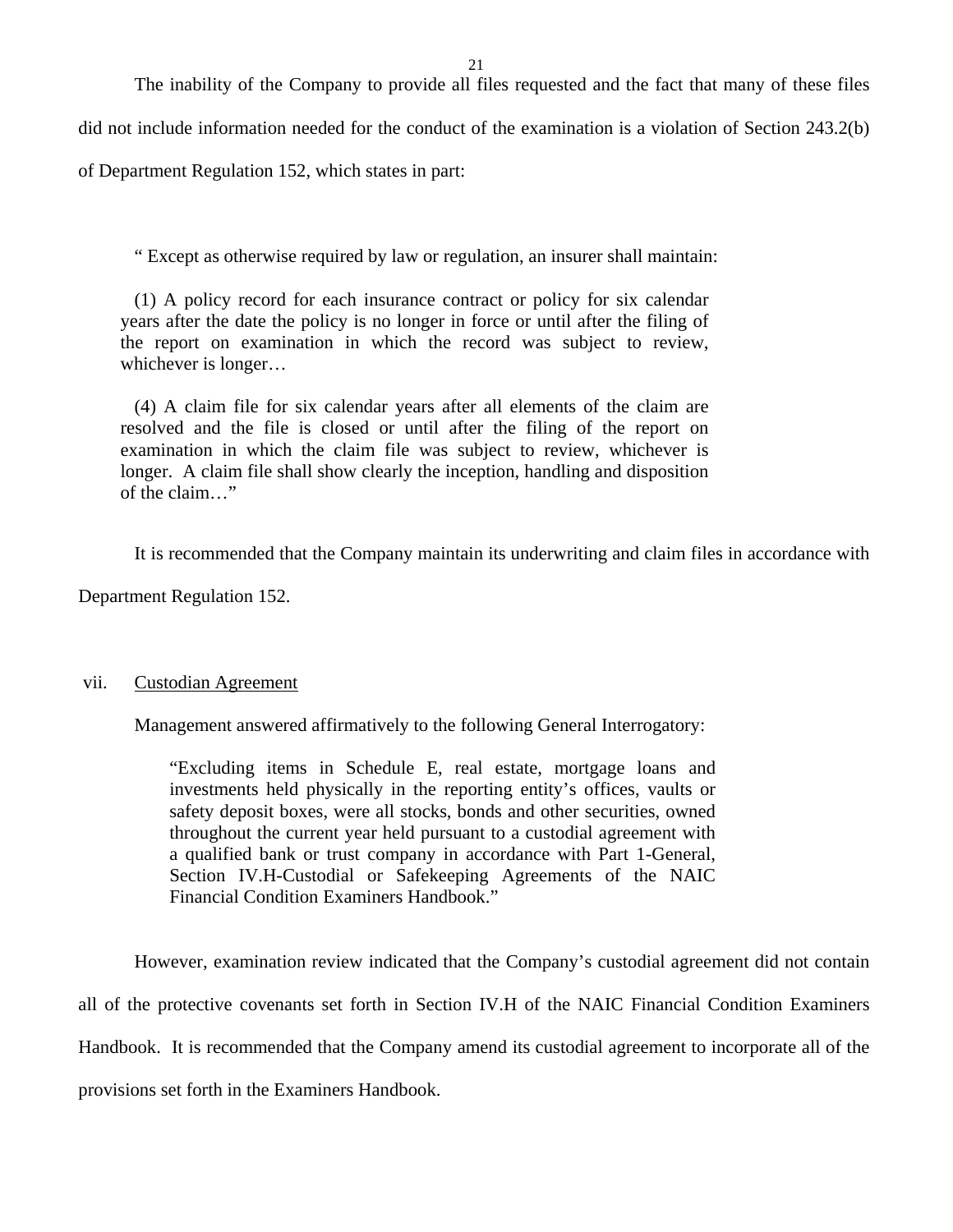The inability of the Company to provide all files requested and the fact that many of these files

did not include information needed for the conduct of the examination is a violation of Section 243.2(b)

of Department Regulation 152, which states in part:

" Except as otherwise required by law or regulation, an insurer shall maintain:

(1) A policy record for each insurance contract or policy for six calendar years after the date the policy is no longer in force or until after the filing of the report on examination in which the record was subject to review, whichever is longer…

(4) A claim file for six calendar years after all elements of the claim are resolved and the file is closed or until after the filing of the report on examination in which the claim file was subject to review, whichever is longer. A claim file shall show clearly the inception, handling and disposition of the claim…"

It is recommended that the Company maintain its underwriting and claim files in accordance with

Department Regulation 152.

#### vii. Custodian Agreement

Management answered affirmatively to the following General Interrogatory:

"Excluding items in Schedule E, real estate, mortgage loans and investments held physically in the reporting entity's offices, vaults or safety deposit boxes, were all stocks, bonds and other securities, owned throughout the current year held pursuant to a custodial agreement with a qualified bank or trust company in accordance with Part 1-General, Section IV.H-Custodial or Safekeeping Agreements of the NAIC Financial Condition Examiners Handbook."

However, examination review indicated that the Company's custodial agreement did not contain all of the protective covenants set forth in Section IV.H of the NAIC Financial Condition Examiners Handbook. It is recommended that the Company amend its custodial agreement to incorporate all of the provisions set forth in the Examiners Handbook.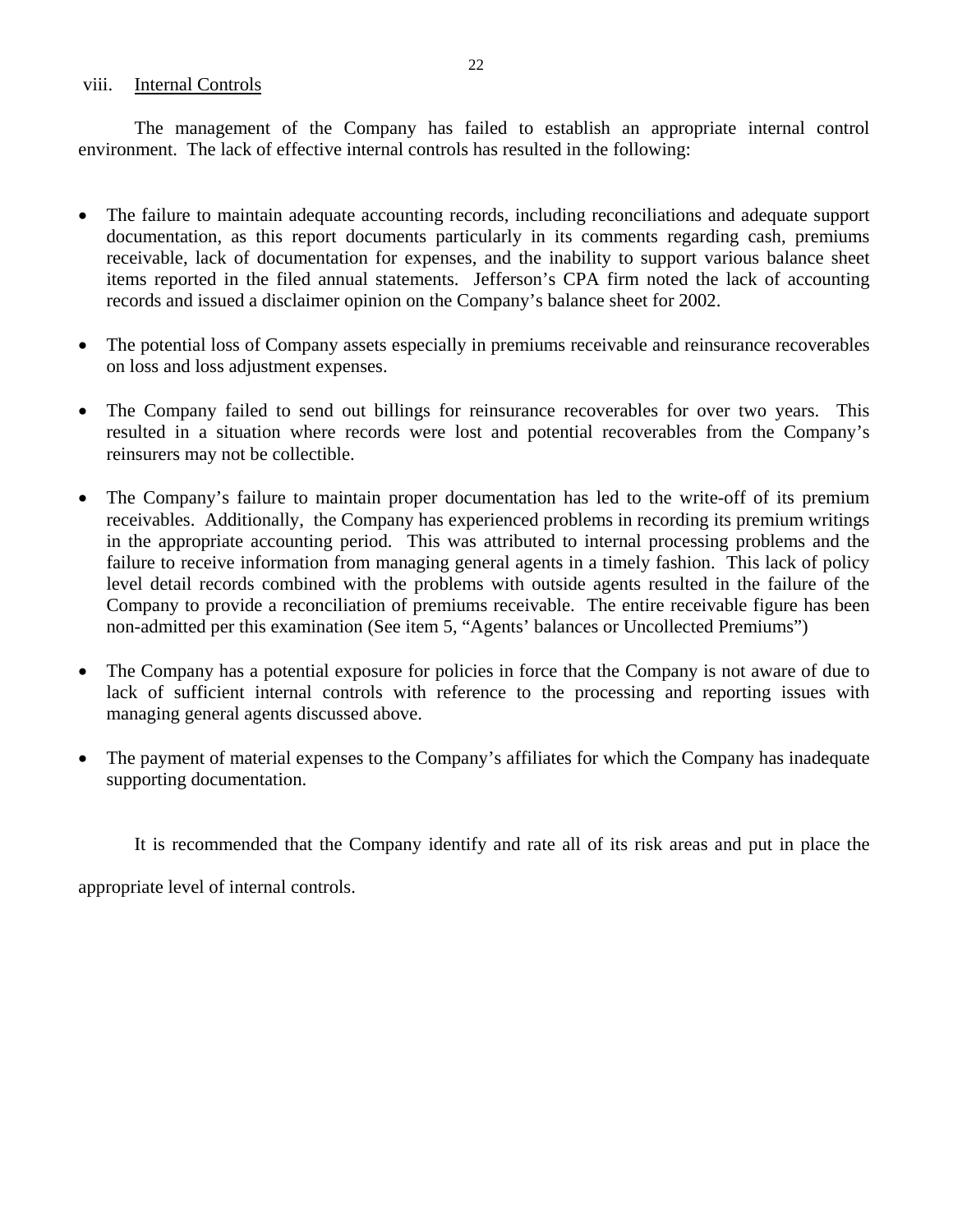#### viii. Internal Controls

The management of the Company has failed to establish an appropriate internal control environment. The lack of effective internal controls has resulted in the following:

- The failure to maintain adequate accounting records, including reconciliations and adequate support documentation, as this report documents particularly in its comments regarding cash, premiums receivable, lack of documentation for expenses, and the inability to support various balance sheet items reported in the filed annual statements. Jefferson's CPA firm noted the lack of accounting records and issued a disclaimer opinion on the Company's balance sheet for 2002.
- The potential loss of Company assets especially in premiums receivable and reinsurance recoverables on loss and loss adjustment expenses.
- The Company failed to send out billings for reinsurance recoverables for over two years. This resulted in a situation where records were lost and potential recoverables from the Company's reinsurers may not be collectible.
- The Company's failure to maintain proper documentation has led to the write-off of its premium receivables. Additionally, the Company has experienced problems in recording its premium writings in the appropriate accounting period. This was attributed to internal processing problems and the failure to receive information from managing general agents in a timely fashion. This lack of policy level detail records combined with the problems with outside agents resulted in the failure of the Company to provide a reconciliation of premiums receivable. The entire receivable figure has been non-admitted per this examination (See item 5, "Agents' balances or Uncollected Premiums")
- The Company has a potential exposure for policies in force that the Company is not aware of due to lack of sufficient internal controls with reference to the processing and reporting issues with managing general agents discussed above.
- The payment of material expenses to the Company's affiliates for which the Company has inadequate supporting documentation.

It is recommended that the Company identify and rate all of its risk areas and put in place the

appropriate level of internal controls.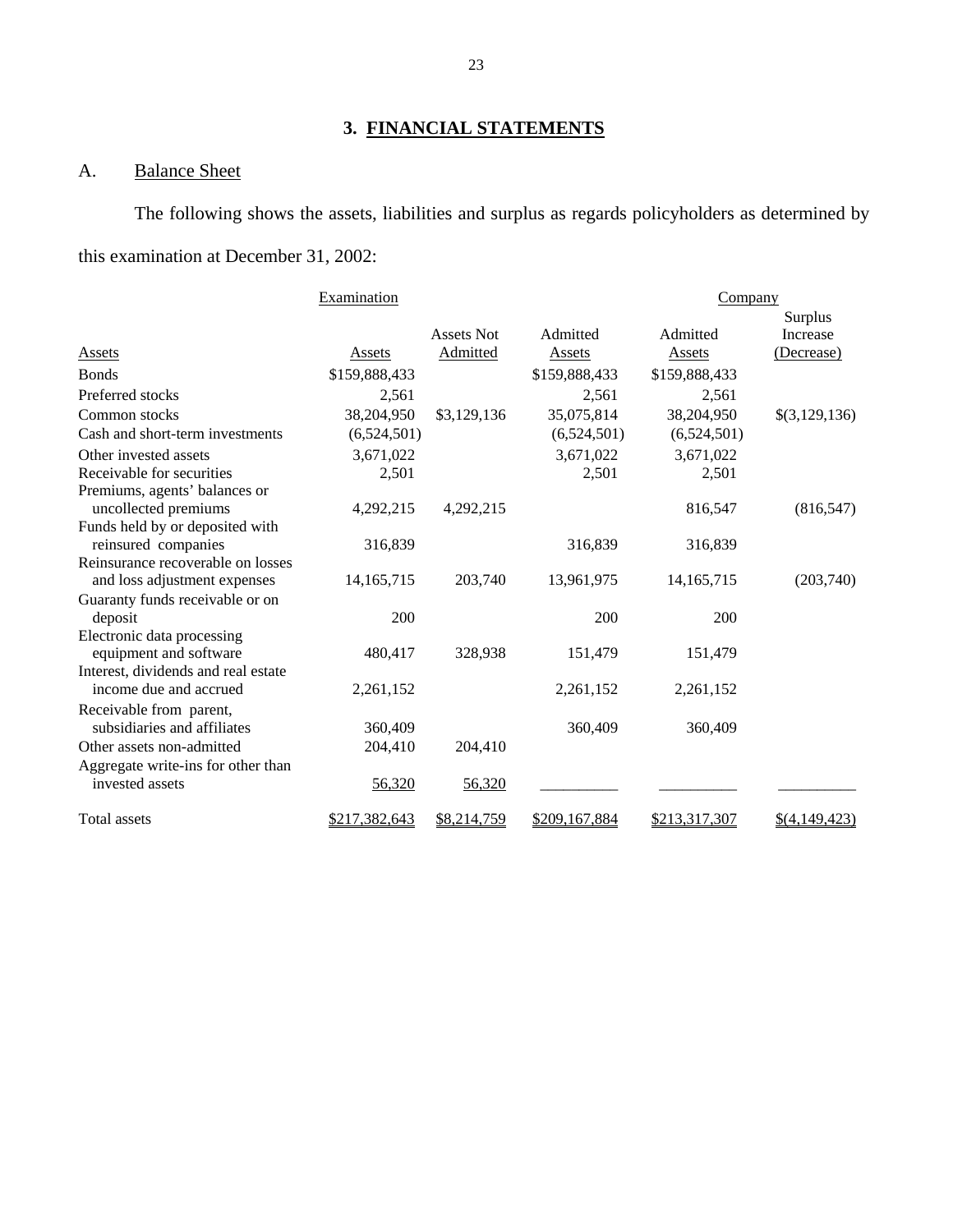# **3. FINANCIAL STATEMENTS**

# A. Balance Sheet

The following shows the assets, liabilities and surplus as regards policyholders as determined by this examination at December 31, 2002:

|                                                               | Examination   |                   |               | Company       |               |
|---------------------------------------------------------------|---------------|-------------------|---------------|---------------|---------------|
|                                                               |               |                   |               |               | Surplus       |
|                                                               |               | <b>Assets Not</b> | Admitted      | Admitted      | Increase      |
| <b>Assets</b>                                                 | Assets        | Admitted          | <b>Assets</b> | <b>Assets</b> | (Decrease)    |
| <b>Bonds</b>                                                  | \$159,888,433 |                   | \$159,888,433 | \$159,888,433 |               |
| Preferred stocks                                              | 2,561         |                   | 2,561         | 2,561         |               |
| Common stocks                                                 | 38,204,950    | \$3,129,136       | 35,075,814    | 38,204,950    | \$(3,129,136) |
| Cash and short-term investments                               | (6,524,501)   |                   | (6,524,501)   | (6,524,501)   |               |
| Other invested assets                                         | 3,671,022     |                   | 3,671,022     | 3,671,022     |               |
| Receivable for securities                                     | 2,501         |                   | 2,501         | 2,501         |               |
| Premiums, agents' balances or                                 |               |                   |               |               |               |
| uncollected premiums                                          | 4,292,215     | 4,292,215         |               | 816,547       | (816, 547)    |
| Funds held by or deposited with                               |               |                   |               |               |               |
| reinsured companies                                           | 316,839       |                   | 316,839       | 316,839       |               |
| Reinsurance recoverable on losses                             |               |                   |               |               |               |
| and loss adjustment expenses                                  | 14, 165, 715  | 203,740           | 13,961,975    | 14, 165, 715  | (203,740)     |
| Guaranty funds receivable or on                               |               |                   |               |               |               |
| deposit                                                       | 200           |                   | 200           | 200           |               |
| Electronic data processing                                    |               |                   |               |               |               |
| equipment and software                                        | 480,417       | 328,938           | 151,479       | 151,479       |               |
| Interest, dividends and real estate<br>income due and accrued |               |                   |               |               |               |
|                                                               | 2,261,152     |                   | 2,261,152     | 2,261,152     |               |
| Receivable from parent,<br>subsidiaries and affiliates        |               |                   |               |               |               |
|                                                               | 360,409       |                   | 360,409       | 360,409       |               |
| Other assets non-admitted                                     | 204,410       | 204,410           |               |               |               |
| Aggregate write-ins for other than                            |               |                   |               |               |               |
| invested assets                                               | 56,320        | 56,320            |               |               |               |
| Total assets                                                  | \$217,382,643 | \$8,214,759       | \$209,167,884 | \$213,317,307 | \$(4,149,423) |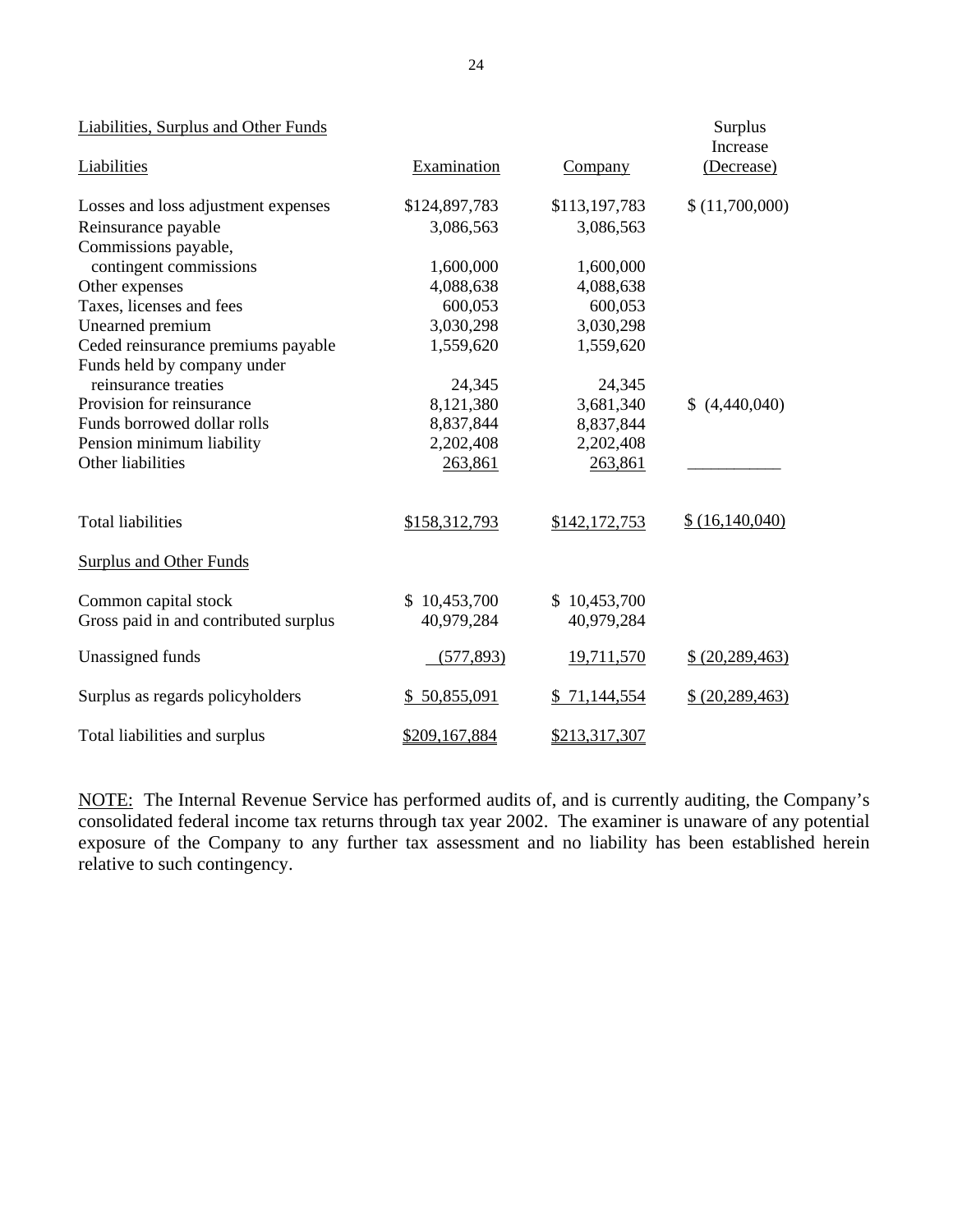| Liabilities, Surplus and Other Funds  |               |               | Surplus<br>Increase |
|---------------------------------------|---------------|---------------|---------------------|
| Liabilities                           | Examination   | Company       | (Decrease)          |
| Losses and loss adjustment expenses   | \$124,897,783 | \$113,197,783 | \$(11,700,000)      |
| Reinsurance payable                   | 3,086,563     | 3,086,563     |                     |
| Commissions payable,                  |               |               |                     |
| contingent commissions                | 1,600,000     | 1,600,000     |                     |
| Other expenses                        | 4,088,638     | 4,088,638     |                     |
| Taxes, licenses and fees              | 600,053       | 600,053       |                     |
| Unearned premium                      | 3,030,298     | 3,030,298     |                     |
| Ceded reinsurance premiums payable    | 1,559,620     | 1,559,620     |                     |
| Funds held by company under           |               |               |                     |
| reinsurance treaties                  | 24,345        | 24,345        |                     |
| Provision for reinsurance             | 8,121,380     | 3,681,340     | \$(4,440,040)       |
| Funds borrowed dollar rolls           | 8,837,844     | 8,837,844     |                     |
| Pension minimum liability             | 2,202,408     | 2,202,408     |                     |
| Other liabilities                     | 263,861       | 263,861       |                     |
| <b>Total liabilities</b>              | \$158,312,793 | \$142,172,753 | \$(16, 140, 040)    |
| <b>Surplus and Other Funds</b>        |               |               |                     |
| Common capital stock                  | \$10,453,700  | \$10,453,700  |                     |
| Gross paid in and contributed surplus | 40,979,284    | 40,979,284    |                     |
| Unassigned funds                      | (577, 893)    | 19,711,570    | \$ (20, 289, 463)   |
| Surplus as regards policyholders      | \$50,855,091  | \$71,144,554  | \$ (20, 289, 463)   |
| Total liabilities and surplus         | \$209,167,884 | \$213,317,307 |                     |

NOTE: The Internal Revenue Service has performed audits of, and is currently auditing, the Company's consolidated federal income tax returns through tax year 2002. The examiner is unaware of any potential exposure of the Company to any further tax assessment and no liability has been established herein relative to such contingency.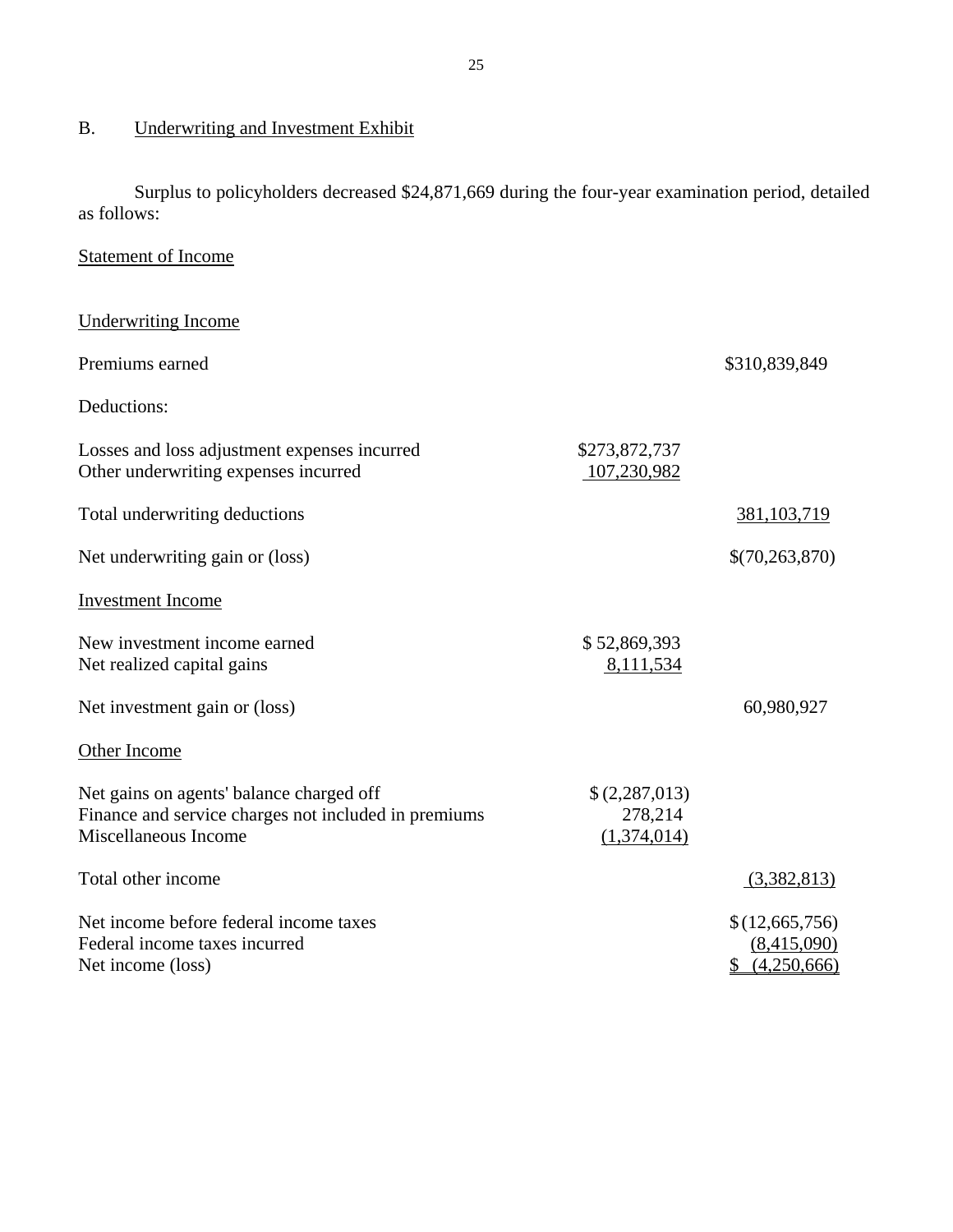# B. Underwriting and Investment Exhibit

Surplus to policyholders decreased \$24,871,669 during the four-year examination period, detailed as follows:

# Statement of Income

| <b>Underwriting Income</b>                                                                                               |                                         |                                                 |
|--------------------------------------------------------------------------------------------------------------------------|-----------------------------------------|-------------------------------------------------|
| Premiums earned                                                                                                          |                                         | \$310,839,849                                   |
| Deductions:                                                                                                              |                                         |                                                 |
| Losses and loss adjustment expenses incurred<br>Other underwriting expenses incurred                                     | \$273,872,737<br>107,230,982            |                                                 |
| Total underwriting deductions                                                                                            |                                         | 381, 103, 719                                   |
| Net underwriting gain or (loss)                                                                                          |                                         | \$(70, 263, 870)                                |
| <b>Investment Income</b>                                                                                                 |                                         |                                                 |
| New investment income earned<br>Net realized capital gains                                                               | \$52,869,393<br>8,111,534               |                                                 |
| Net investment gain or (loss)                                                                                            |                                         | 60,980,927                                      |
| Other Income                                                                                                             |                                         |                                                 |
| Net gains on agents' balance charged off<br>Finance and service charges not included in premiums<br>Miscellaneous Income | \$(2,287,013)<br>278,214<br>(1,374,014) |                                                 |
| Total other income                                                                                                       |                                         | (3,382,813)                                     |
| Net income before federal income taxes<br>Federal income taxes incurred<br>Net income (loss)                             |                                         | \$(12,665,756)<br>(8,415,090)<br>\$ (4,250,666) |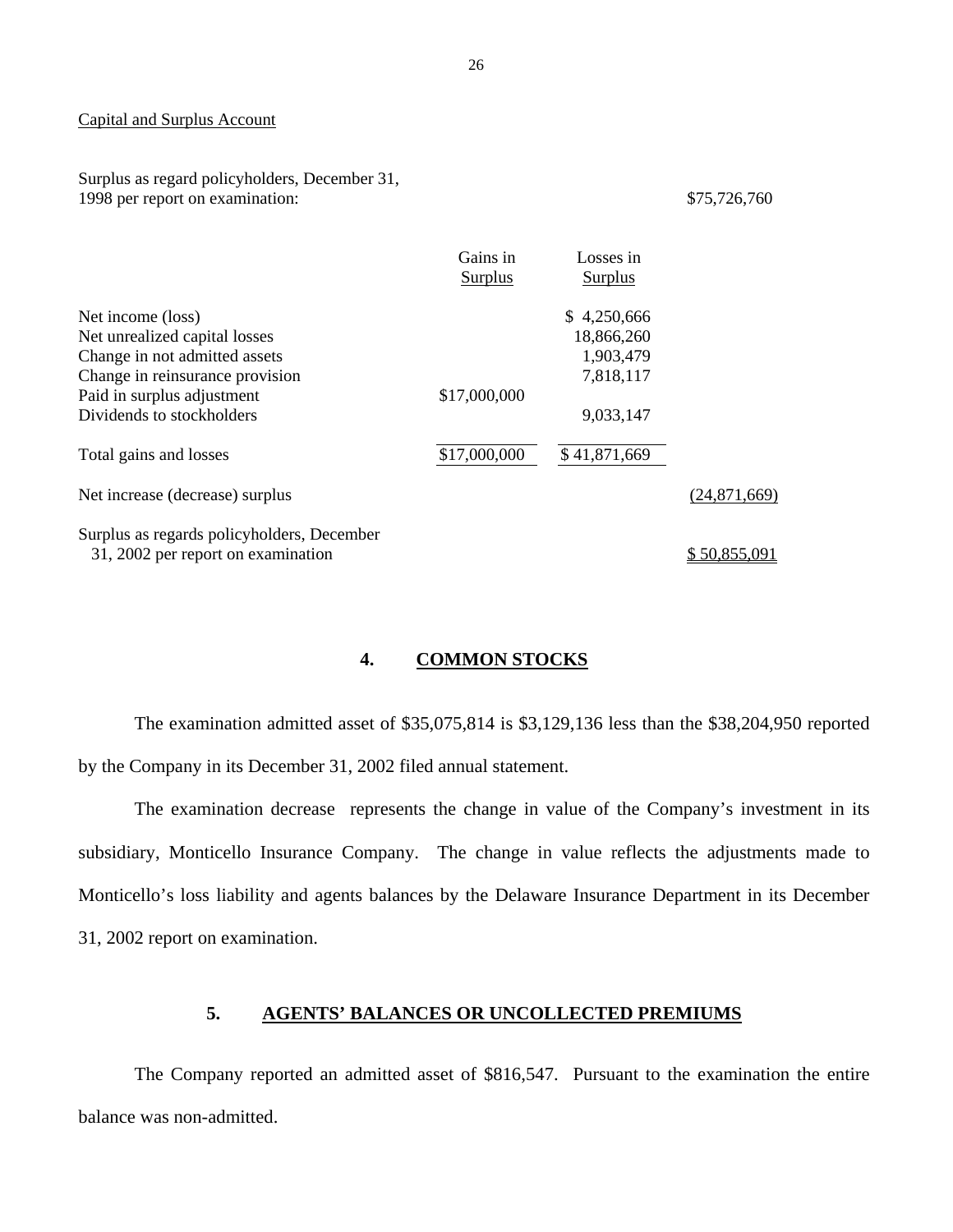#### <span id="page-27-0"></span>Capital and Surplus Account

Surplus as regard policyholders, December 31, 1998 per report on examination:  $$75,726,760$ 

|                                                                                  | Gains in<br><b>Surplus</b> | Losses in<br><b>Surplus</b> |              |
|----------------------------------------------------------------------------------|----------------------------|-----------------------------|--------------|
| Net income (loss)                                                                |                            | \$4,250,666                 |              |
| Net unrealized capital losses                                                    |                            | 18,866,260                  |              |
| Change in not admitted assets                                                    |                            | 1,903,479                   |              |
| Change in reinsurance provision                                                  |                            | 7,818,117                   |              |
| Paid in surplus adjustment                                                       | \$17,000,000               |                             |              |
| Dividends to stockholders                                                        |                            | 9,033,147                   |              |
| Total gains and losses                                                           | \$17,000,000               | \$41,871,669                |              |
| Net increase (decrease) surplus                                                  |                            |                             | (24,871,669) |
| Surplus as regards policyholders, December<br>31, 2002 per report on examination |                            |                             | \$50,855,091 |
|                                                                                  |                            |                             |              |

# **4. COMMON STOCKS**

The examination admitted asset of \$35,075,814 is \$3,129,136 less than the \$38,204,950 reported by the Company in its December 31, 2002 filed annual statement.

The examination decrease represents the change in value of the Company's investment in its subsidiary, Monticello Insurance Company. The change in value reflects the adjustments made to Monticello's loss liability and agents balances by the Delaware Insurance Department in its December 31, 2002 report on examination.

### **5. AGENTS' BALANCES OR UNCOLLECTED PREMIUMS**

The Company reported an admitted asset of \$816,547. Pursuant to the examination the entire balance was non-admitted.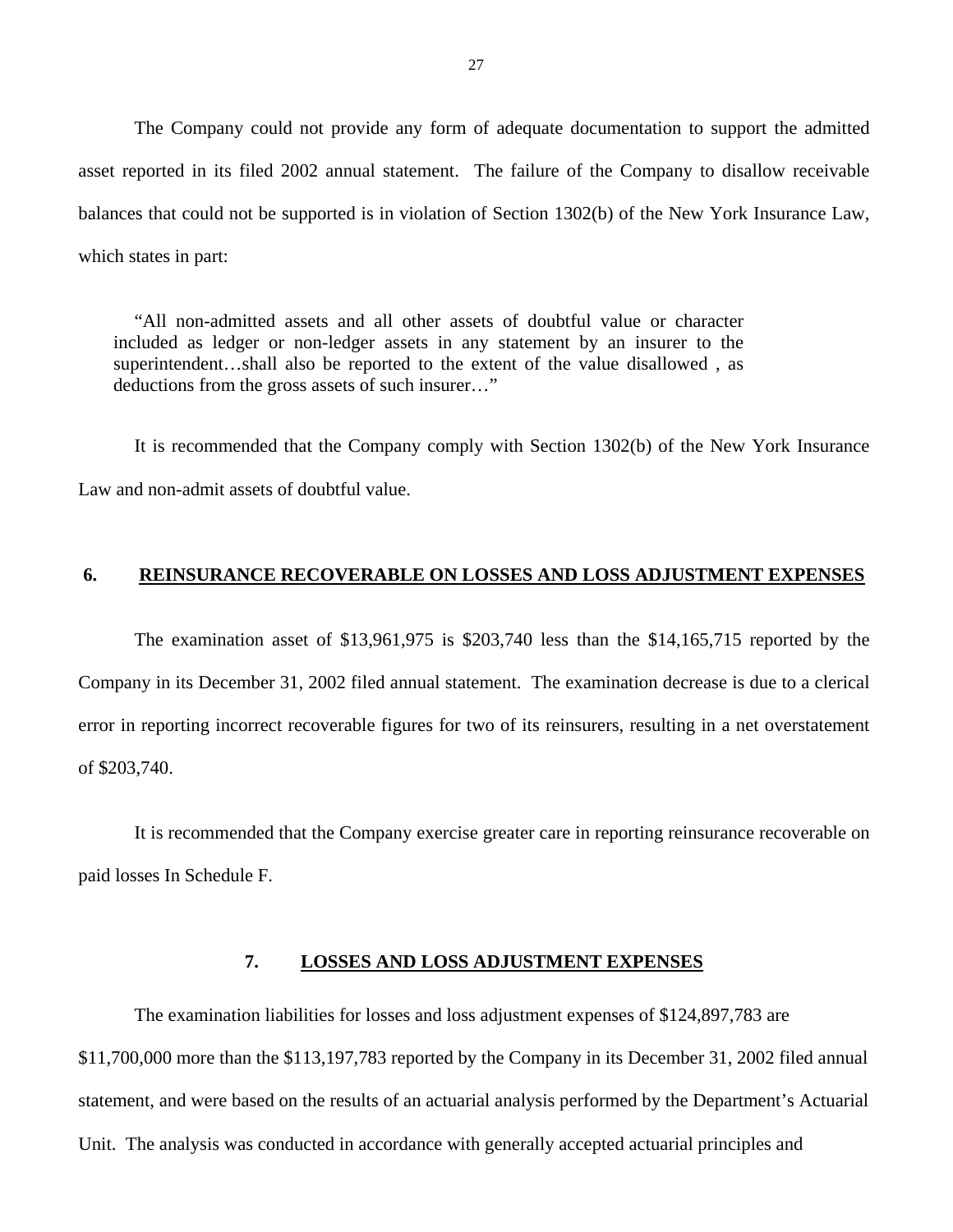<span id="page-28-0"></span>The Company could not provide any form of adequate documentation to support the admitted asset reported in its filed 2002 annual statement. The failure of the Company to disallow receivable balances that could not be supported is in violation of Section 1302(b) of the New York Insurance Law, which states in part:

"All non-admitted assets and all other assets of doubtful value or character included as ledger or non-ledger assets in any statement by an insurer to the superintendent…shall also be reported to the extent of the value disallowed , as deductions from the gross assets of such insurer…"

It is recommended that the Company comply with Section 1302(b) of the New York Insurance Law and non-admit assets of doubtful value.

#### **6. REINSURANCE RECOVERABLE ON LOSSES AND LOSS ADJUSTMENT EXPENSES**

The examination asset of \$13,961,975 is \$203,740 less than the \$14,165,715 reported by the Company in its December 31, 2002 filed annual statement. The examination decrease is due to a clerical error in reporting incorrect recoverable figures for two of its reinsurers, resulting in a net overstatement of \$203,740.

It is recommended that the Company exercise greater care in reporting reinsurance recoverable on paid losses In Schedule F.

#### **7. LOSSES AND LOSS ADJUSTMENT EXPENSES**

The examination liabilities for losses and loss adjustment expenses of \$124,897,783 are \$11,700,000 more than the \$113,197,783 reported by the Company in its December 31, 2002 filed annual statement, and were based on the results of an actuarial analysis performed by the Department's Actuarial Unit. The analysis was conducted in accordance with generally accepted actuarial principles and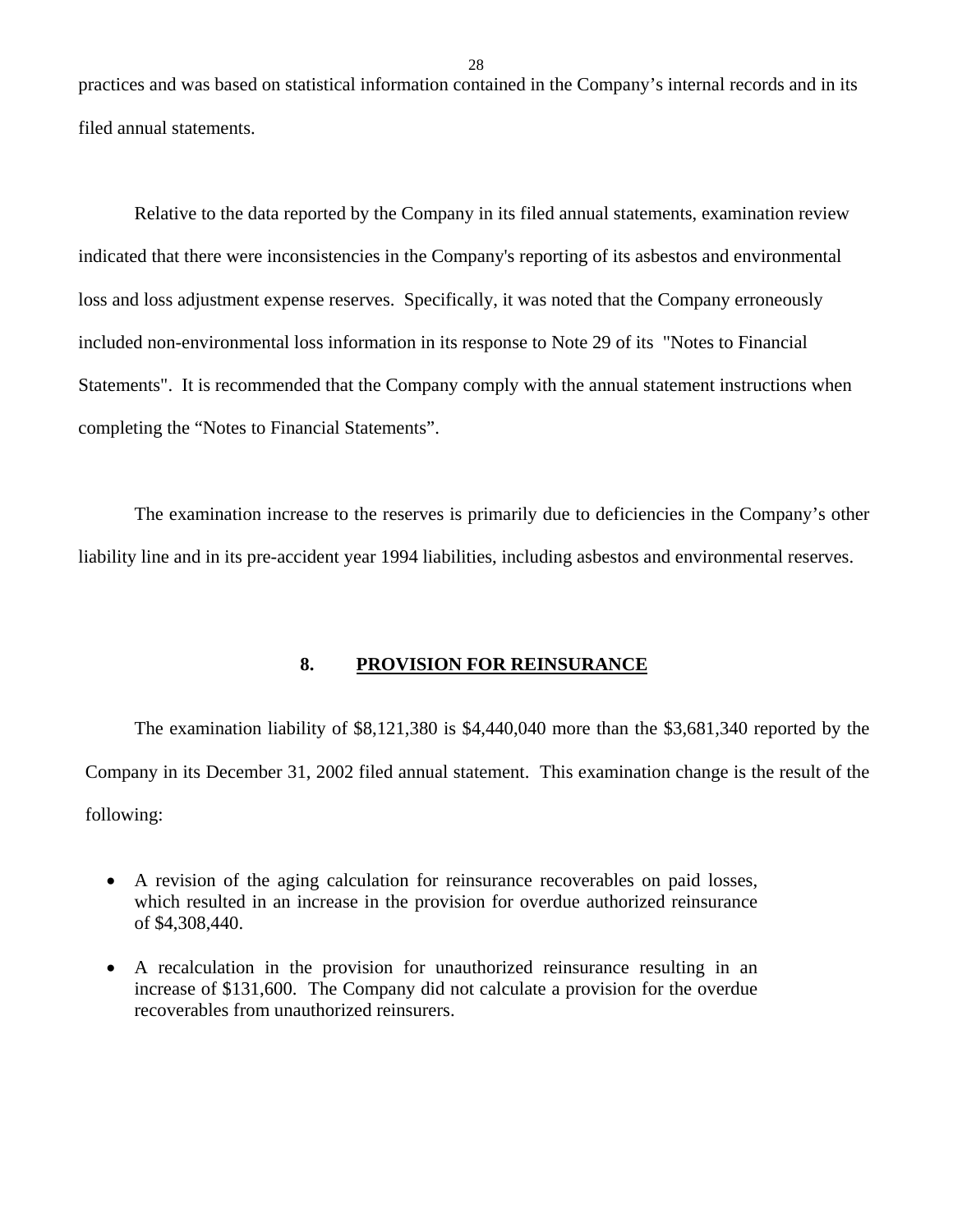<span id="page-29-0"></span>practices and was based on statistical information contained in the Company's internal records and in its filed annual statements.

Relative to the data reported by the Company in its filed annual statements, examination review indicated that there were inconsistencies in the Company's reporting of its asbestos and environmental loss and loss adjustment expense reserves. Specifically, it was noted that the Company erroneously included non-environmental loss information in its response to Note 29 of its "Notes to Financial Statements". It is recommended that the Company comply with the annual statement instructions when completing the "Notes to Financial Statements".

The examination increase to the reserves is primarily due to deficiencies in the Company's other liability line and in its pre-accident year 1994 liabilities, including asbestos and environmental reserves.

#### **8. PROVISION FOR REINSURANCE**

The examination liability of \$8,121,380 is \$4,440,040 more than the \$3,681,340 reported by the Company in its December 31, 2002 filed annual statement. This examination change is the result of the following:

- A revision of the aging calculation for reinsurance recoverables on paid losses, which resulted in an increase in the provision for overdue authorized reinsurance of \$4,308,440.
- A recalculation in the provision for unauthorized reinsurance resulting in an increase of \$131,600. The Company did not calculate a provision for the overdue recoverables from unauthorized reinsurers.

28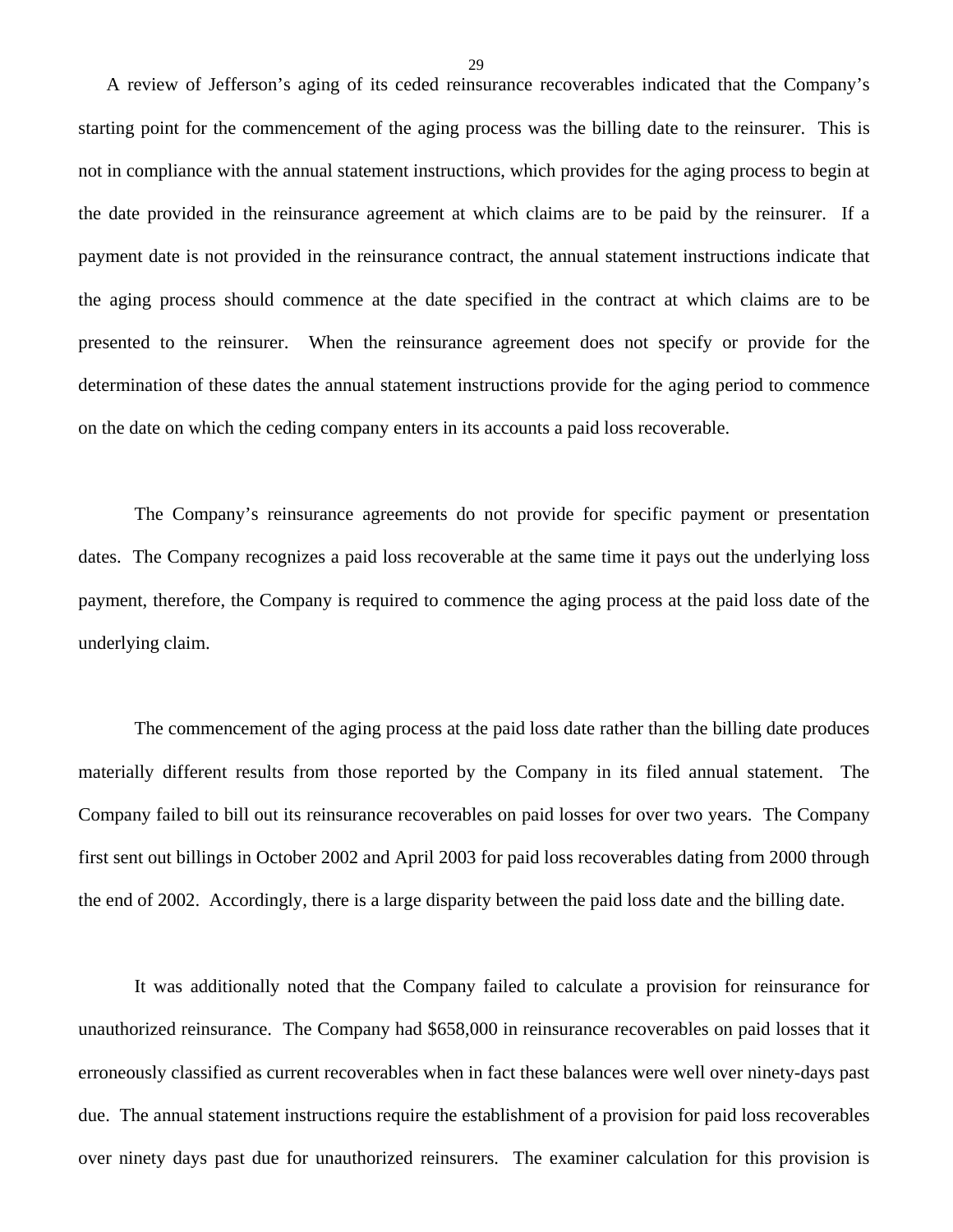A review of Jefferson's aging of its ceded reinsurance recoverables indicated that the Company's starting point for the commencement of the aging process was the billing date to the reinsurer. This is not in compliance with the annual statement instructions, which provides for the aging process to begin at the date provided in the reinsurance agreement at which claims are to be paid by the reinsurer. If a payment date is not provided in the reinsurance contract, the annual statement instructions indicate that the aging process should commence at the date specified in the contract at which claims are to be presented to the reinsurer. When the reinsurance agreement does not specify or provide for the determination of these dates the annual statement instructions provide for the aging period to commence on the date on which the ceding company enters in its accounts a paid loss recoverable.

The Company's reinsurance agreements do not provide for specific payment or presentation dates. The Company recognizes a paid loss recoverable at the same time it pays out the underlying loss payment, therefore, the Company is required to commence the aging process at the paid loss date of the underlying claim.

The commencement of the aging process at the paid loss date rather than the billing date produces materially different results from those reported by the Company in its filed annual statement. The Company failed to bill out its reinsurance recoverables on paid losses for over two years. The Company first sent out billings in October 2002 and April 2003 for paid loss recoverables dating from 2000 through the end of 2002. Accordingly, there is a large disparity between the paid loss date and the billing date.

It was additionally noted that the Company failed to calculate a provision for reinsurance for unauthorized reinsurance. The Company had \$658,000 in reinsurance recoverables on paid losses that it erroneously classified as current recoverables when in fact these balances were well over ninety-days past due. The annual statement instructions require the establishment of a provision for paid loss recoverables over ninety days past due for unauthorized reinsurers. The examiner calculation for this provision is

29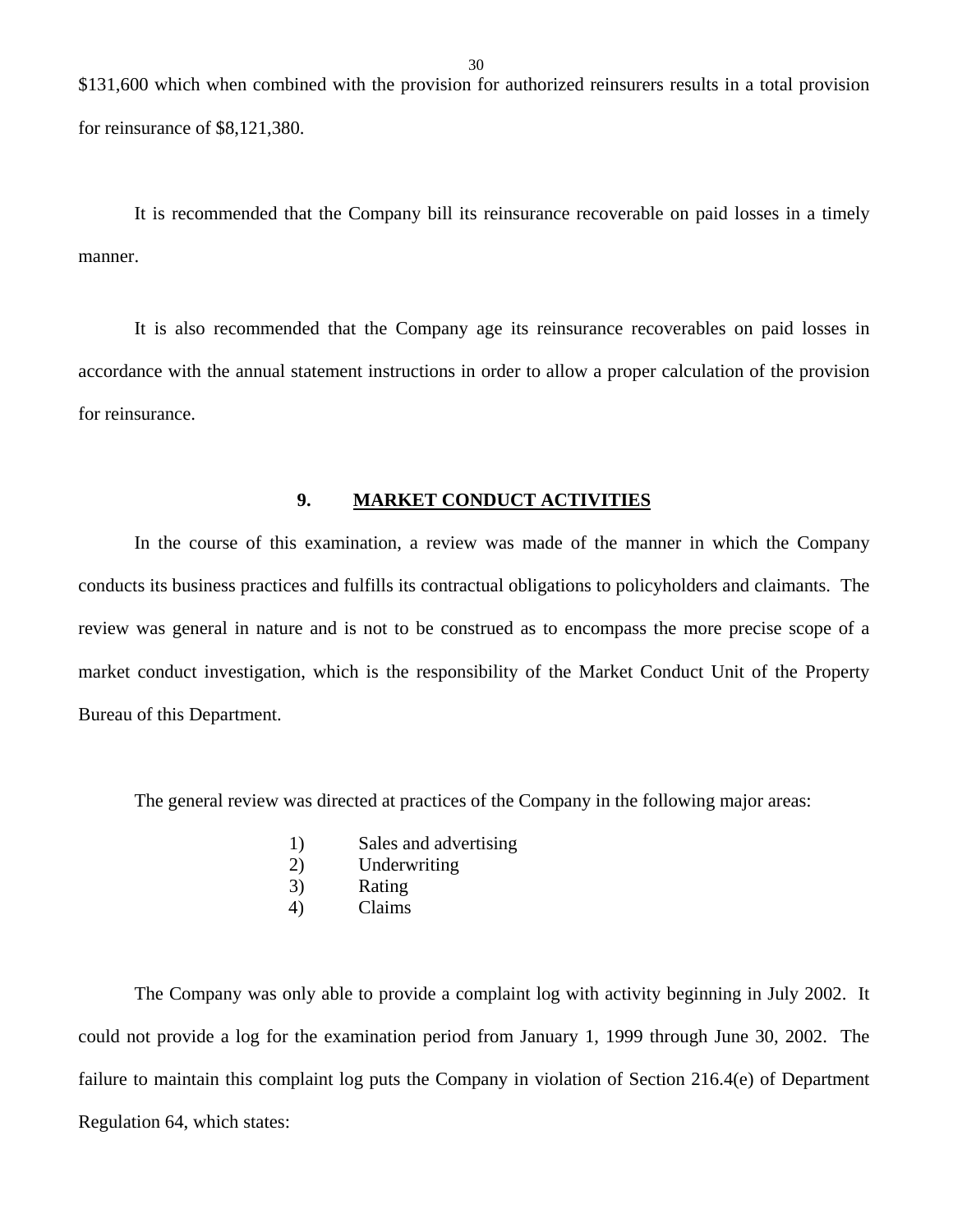<span id="page-31-0"></span>\$131,600 which when combined with the provision for authorized reinsurers results in a total provision for reinsurance of \$8,121,380.

It is recommended that the Company bill its reinsurance recoverable on paid losses in a timely manner.

It is also recommended that the Company age its reinsurance recoverables on paid losses in accordance with the annual statement instructions in order to allow a proper calculation of the provision for reinsurance.

## **9. MARKET CONDUCT ACTIVITIES**

In the course of this examination, a review was made of the manner in which the Company conducts its business practices and fulfills its contractual obligations to policyholders and claimants. The review was general in nature and is not to be construed as to encompass the more precise scope of a market conduct investigation, which is the responsibility of the Market Conduct Unit of the Property Bureau of this Department.

The general review was directed at practices of the Company in the following major areas:

- 1) Sales and advertising
- 2) Underwriting
- 3) Rating
- 4) Claims

The Company was only able to provide a complaint log with activity beginning in July 2002. It could not provide a log for the examination period from January 1, 1999 through June 30, 2002. The failure to maintain this complaint log puts the Company in violation of Section 216.4(e) of Department Regulation 64, which states: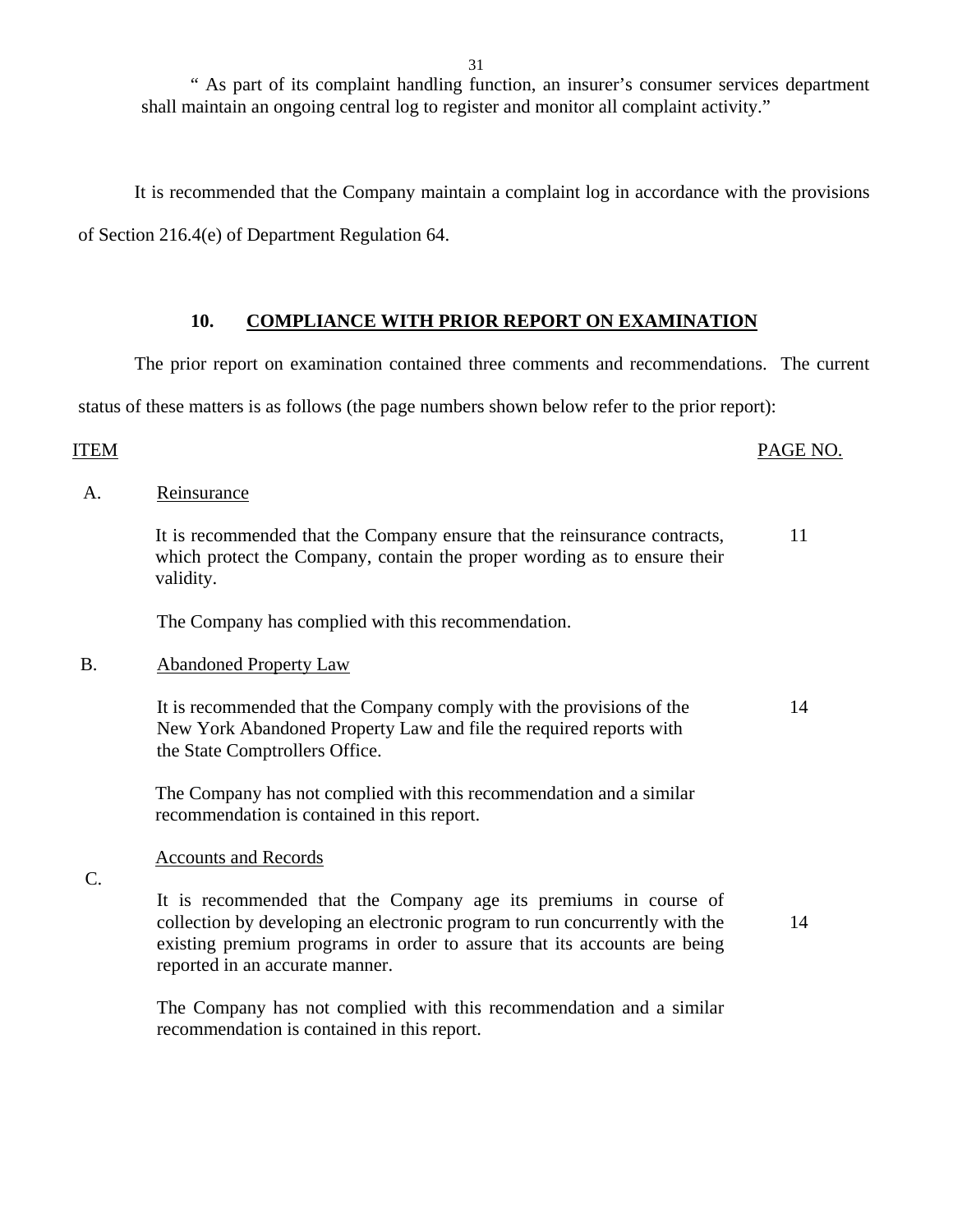" As part of its complaint handling function, an insurer's consumer services department shall maintain an ongoing central log to register and monitor all complaint activity."

It is recommended that the Company maintain a complaint log in accordance with the provisions

of Section 216.4(e) of Department Regulation 64.

### **10. COMPLIANCE WITH PRIOR REPORT ON EXAMINATION**

The prior report on examination contained three comments and recommendations. The current

status of these matters is as follows (the page numbers shown below refer to the prior report):

#### ITEM PAGE NO.

A. Reinsurance

It is recommended that the Company ensure that the reinsurance contracts, which protect the Company, contain the proper wording as to ensure their validity. 11

The Company has complied with this recommendation.

#### B. Abandoned Property Law

It is recommended that the Company comply with the provisions of the New York Abandoned Property Law and file the required reports with the State Comptrollers Office. 14

The Company has not complied with this recommendation and a similar recommendation is contained in this report.

#### Accounts and Records

C.

It is recommended that the Company age its premiums in course of collection by developing an electronic program to run concurrently with the existing premium programs in order to assure that its accounts are being reported in an accurate manner.

14

The Company has not complied with this recommendation and a similar recommendation is contained in this report.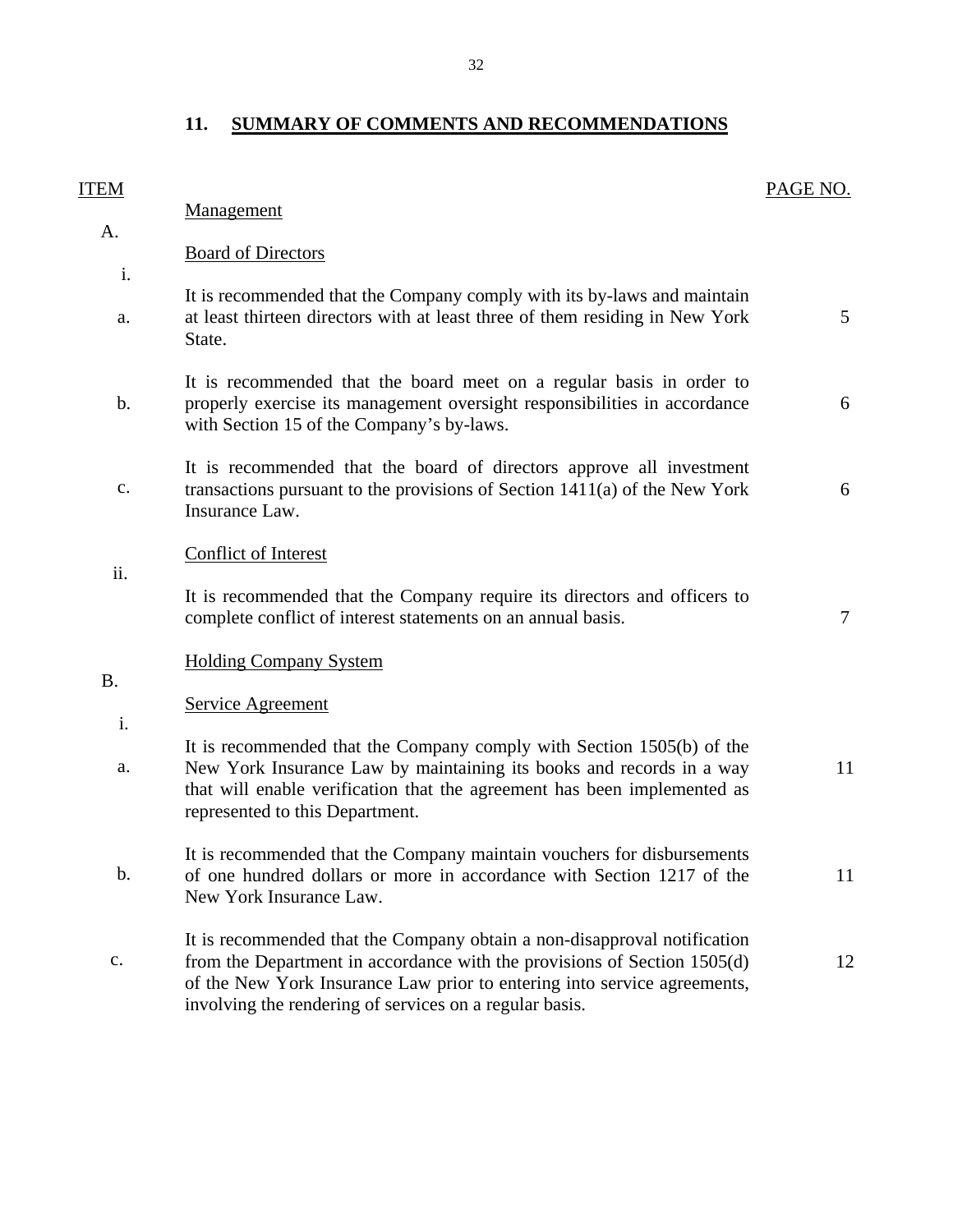# **11. SUMMARY OF COMMENTS AND RECOMMENDATIONS**

<span id="page-33-0"></span>

| <b>ITEM</b>    |                                                                                                                                                                                                                                                                                             | PAGE NO.       |
|----------------|---------------------------------------------------------------------------------------------------------------------------------------------------------------------------------------------------------------------------------------------------------------------------------------------|----------------|
| A.             | <b>Management</b>                                                                                                                                                                                                                                                                           |                |
| i.             | <b>Board of Directors</b>                                                                                                                                                                                                                                                                   |                |
| a.             | It is recommended that the Company comply with its by-laws and maintain<br>at least thirteen directors with at least three of them residing in New York<br>State.                                                                                                                           | 5 <sup>5</sup> |
| b.             | It is recommended that the board meet on a regular basis in order to<br>properly exercise its management oversight responsibilities in accordance<br>with Section 15 of the Company's by-laws.                                                                                              | 6              |
| $\mathbf{c}$ . | It is recommended that the board of directors approve all investment<br>transactions pursuant to the provisions of Section $1411(a)$ of the New York<br>Insurance Law.                                                                                                                      | 6              |
| ii.            | <b>Conflict of Interest</b><br>It is recommended that the Company require its directors and officers to<br>complete conflict of interest statements on an annual basis.                                                                                                                     | $\tau$         |
| <b>B.</b>      | <b>Holding Company System</b>                                                                                                                                                                                                                                                               |                |
|                | <b>Service Agreement</b>                                                                                                                                                                                                                                                                    |                |
| i.<br>a.       | It is recommended that the Company comply with Section 1505(b) of the<br>New York Insurance Law by maintaining its books and records in a way<br>that will enable verification that the agreement has been implemented as<br>represented to this Department.                                | 11             |
| b.             | It is recommended that the Company maintain vouchers for disbursements<br>of one hundred dollars or more in accordance with Section 1217 of the<br>New York Insurance Law.                                                                                                                  | 11             |
| c.             | It is recommended that the Company obtain a non-disapproval notification<br>from the Department in accordance with the provisions of Section 1505(d)<br>of the New York Insurance Law prior to entering into service agreements,<br>involving the rendering of services on a regular basis. | 12             |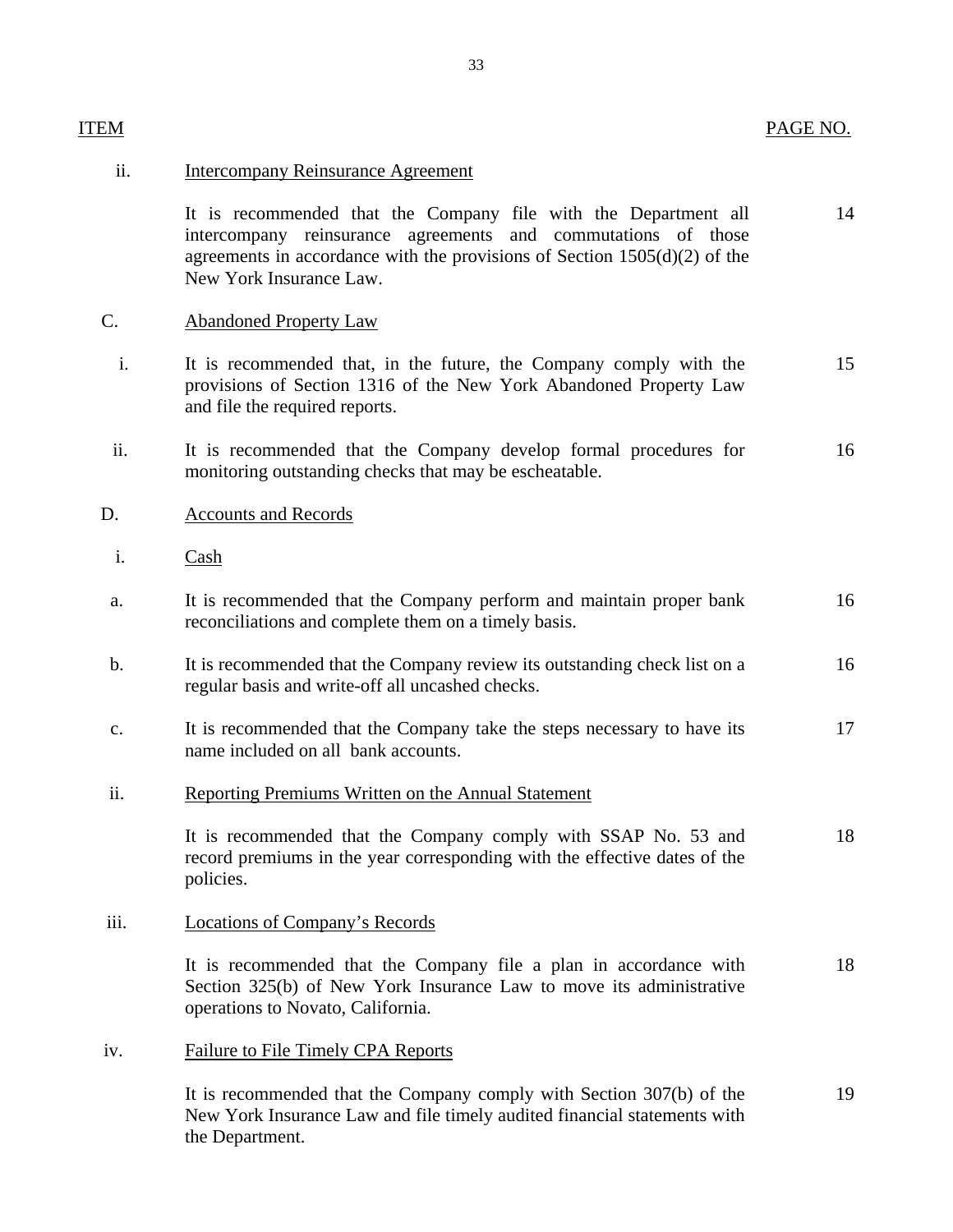| ITEM |                                                                                                                                                                                                                                            | PAGE NO. |
|------|--------------------------------------------------------------------------------------------------------------------------------------------------------------------------------------------------------------------------------------------|----------|
| ii.  | <b>Intercompany Reinsurance Agreement</b>                                                                                                                                                                                                  |          |
|      | It is recommended that the Company file with the Department all<br>intercompany reinsurance agreements and commutations of those<br>agreements in accordance with the provisions of Section $1505(d)(2)$ of the<br>New York Insurance Law. | 14       |
| C.   | <b>Abandoned Property Law</b>                                                                                                                                                                                                              |          |
| i.   | It is recommended that, in the future, the Company comply with the<br>provisions of Section 1316 of the New York Abandoned Property Law<br>and file the required reports.                                                                  | 15       |
| ii.  | It is recommended that the Company develop formal procedures for<br>monitoring outstanding checks that may be escheatable.                                                                                                                 | 16       |
| D.   | <b>Accounts and Records</b>                                                                                                                                                                                                                |          |
| i.   | $\frac{\text{Cash}}{\text{Cash}}$                                                                                                                                                                                                          |          |
| a.   | It is recommended that the Company perform and maintain proper bank<br>reconciliations and complete them on a timely basis.                                                                                                                | 16       |
| b.   | It is recommended that the Company review its outstanding check list on a<br>regular basis and write-off all uncashed checks.                                                                                                              | 16       |
| c.   | It is recommended that the Company take the steps necessary to have its<br>name included on all bank accounts.                                                                                                                             | 17       |
| ii.  | <b>Reporting Premiums Written on the Annual Statement</b>                                                                                                                                                                                  |          |
|      | It is recommended that the Company comply with SSAP No. 53 and<br>record premiums in the year corresponding with the effective dates of the<br>policies.                                                                                   | 18       |
| iii. | <b>Locations of Company's Records</b>                                                                                                                                                                                                      |          |
|      | It is recommended that the Company file a plan in accordance with<br>Section 325(b) of New York Insurance Law to move its administrative<br>operations to Novato, California.                                                              | 18       |
| iv.  | <b>Failure to File Timely CPA Reports</b>                                                                                                                                                                                                  |          |
|      | It is recommended that the Company comply with Section 307(b) of the<br>New York Insurance Law and file timely audited financial statements with<br>the Department.                                                                        | 19       |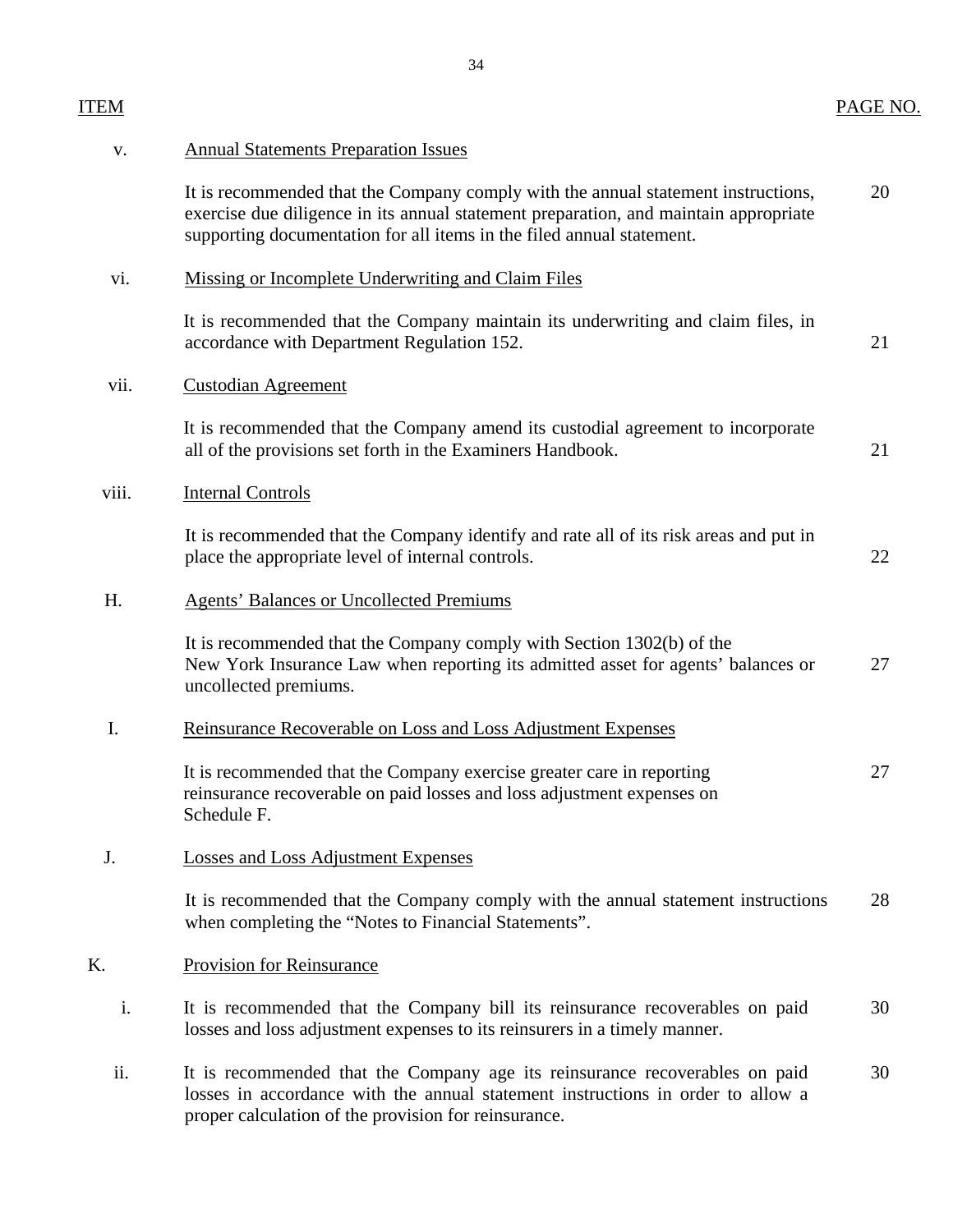| <b>ITEM</b>    |                                                                                                                                                                                                                                                    | PAGE NO. |
|----------------|----------------------------------------------------------------------------------------------------------------------------------------------------------------------------------------------------------------------------------------------------|----------|
| $\mathbf{V}$ . | <b>Annual Statements Preparation Issues</b>                                                                                                                                                                                                        |          |
|                | It is recommended that the Company comply with the annual statement instructions,<br>exercise due diligence in its annual statement preparation, and maintain appropriate<br>supporting documentation for all items in the filed annual statement. | 20       |
| vi.            | Missing or Incomplete Underwriting and Claim Files                                                                                                                                                                                                 |          |
|                | It is recommended that the Company maintain its underwriting and claim files, in<br>accordance with Department Regulation 152.                                                                                                                     | 21       |
| vii.           | <b>Custodian Agreement</b>                                                                                                                                                                                                                         |          |
|                | It is recommended that the Company amend its custodial agreement to incorporate<br>all of the provisions set forth in the Examiners Handbook.                                                                                                      | 21       |
| viii.          | <b>Internal Controls</b>                                                                                                                                                                                                                           |          |
|                | It is recommended that the Company identify and rate all of its risk areas and put in<br>place the appropriate level of internal controls.                                                                                                         | 22       |
| H.             | <b>Agents' Balances or Uncollected Premiums</b>                                                                                                                                                                                                    |          |
|                | It is recommended that the Company comply with Section 1302(b) of the<br>New York Insurance Law when reporting its admitted asset for agents' balances or<br>uncollected premiums.                                                                 | 27       |
| I.             | Reinsurance Recoverable on Loss and Loss Adjustment Expenses                                                                                                                                                                                       |          |
|                | It is recommended that the Company exercise greater care in reporting<br>reinsurance recoverable on paid losses and loss adjustment expenses on<br>Schedule F.                                                                                     | 27       |
| J.             | <b>Losses and Loss Adjustment Expenses</b>                                                                                                                                                                                                         |          |
|                | It is recommended that the Company comply with the annual statement instructions<br>when completing the "Notes to Financial Statements".                                                                                                           | 28       |
| K.             | <b>Provision for Reinsurance</b>                                                                                                                                                                                                                   |          |
| i.             | It is recommended that the Company bill its reinsurance recoverables on paid<br>losses and loss adjustment expenses to its reinsurers in a timely manner.                                                                                          | 30       |
| ii.            | It is recommended that the Company age its reinsurance recoverables on paid<br>losses in accordance with the annual statement instructions in order to allow a<br>proper calculation of the provision for reinsurance.                             | 30       |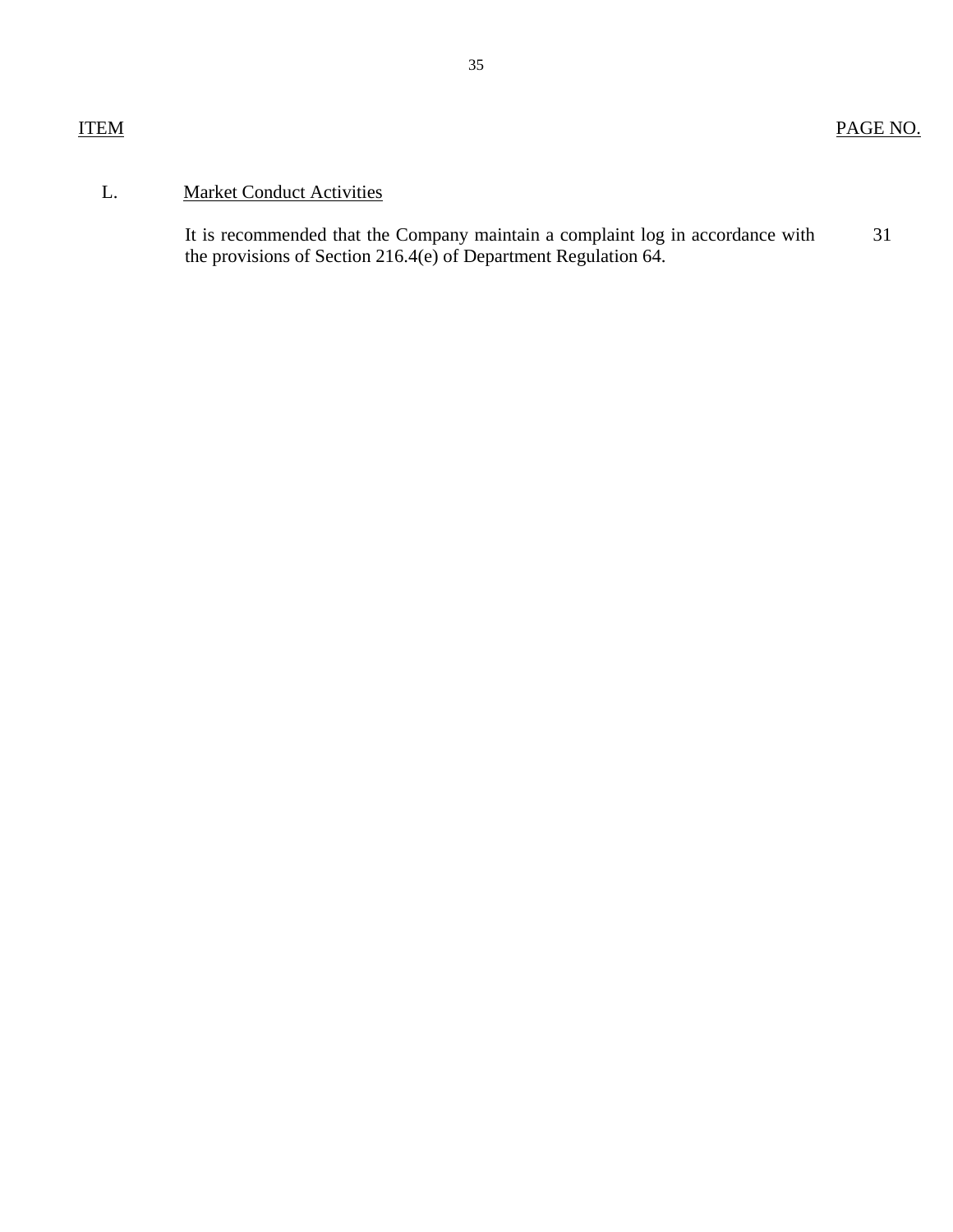# L. Market Conduct Activities

31 It is recommended that the Company maintain a complaint log in accordance with the provisions of Section 216.4(e) of Department Regulation 64.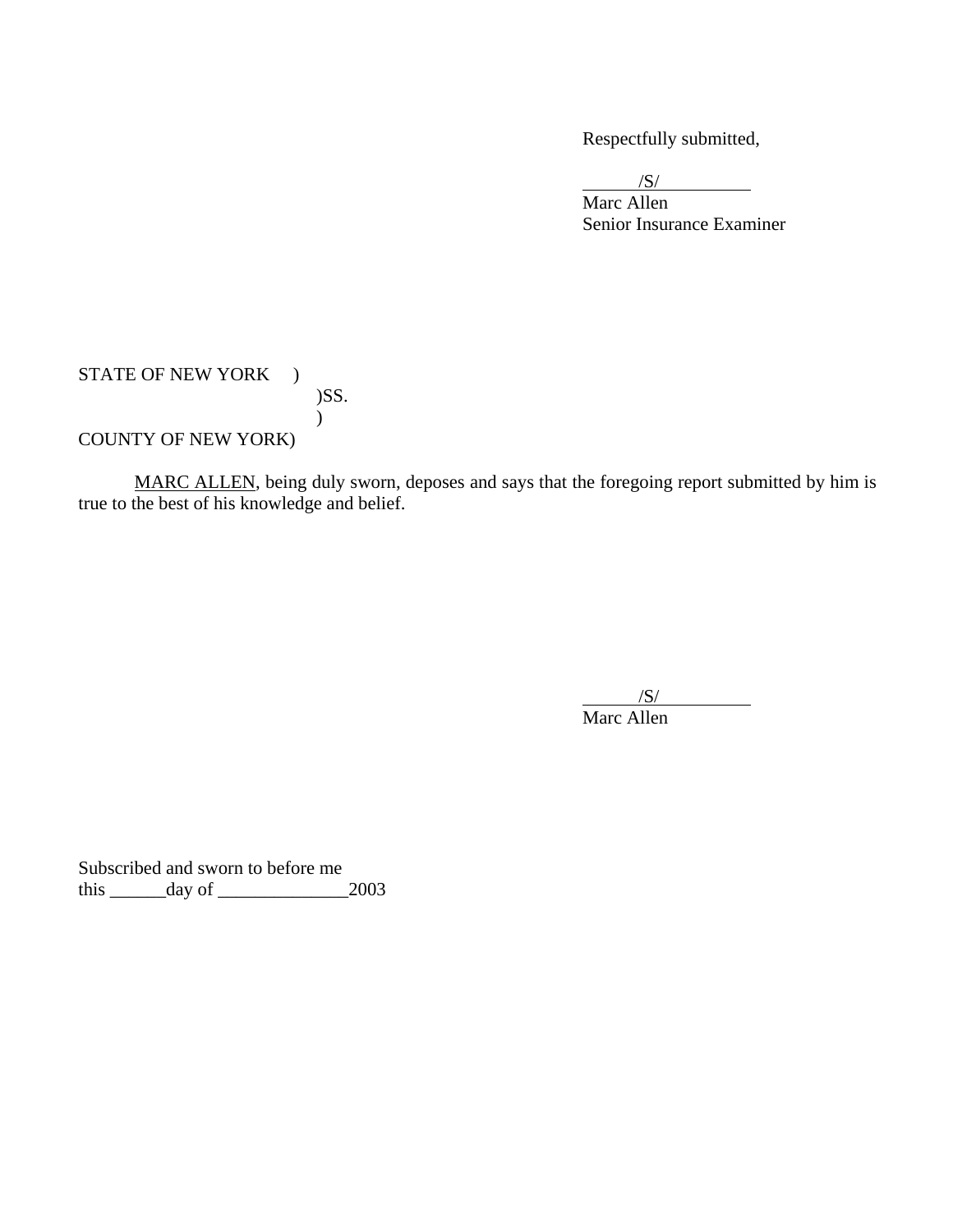Respectfully submitted,

 $/S/$ 

Marc Allen Senior Insurance Examiner

STATE OF NEW YORK ) )SS.  $\mathcal{L}$ COUNTY OF NEW YORK)

MARC ALLEN, being duly sworn, deposes and says that the foregoing report submitted by him is true to the best of his knowledge and belief.

 $\overline{\phantom{a}}$ /S/ Marc Allen

Subscribed and sworn to before me this \_\_\_\_\_\_day of \_\_\_\_\_\_\_\_\_\_\_\_\_\_2003